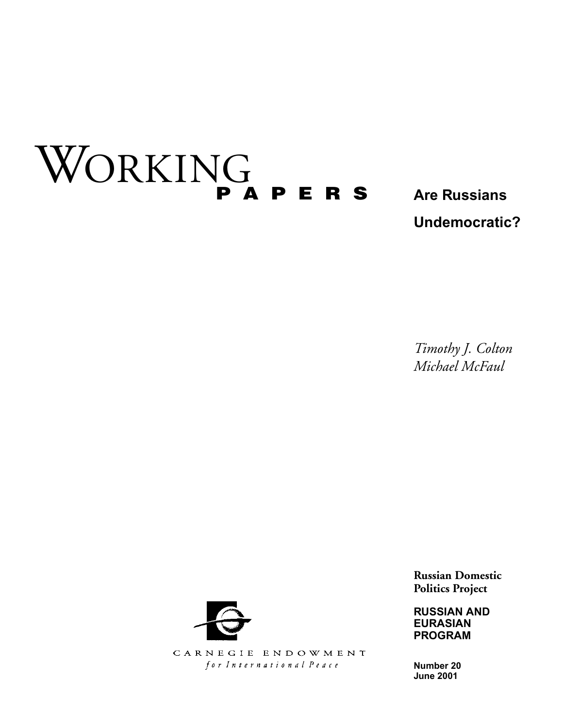# WORKING **PAPERS**

**Are Russians Undemocratic?**

*Timothy J. Colton Michael McFaul*

**Russian Domestic Politics Project**

**RUSSIAN AND EURASIAN PROGRAM**

**Number 20 June 2001**



CARNEGIE ENDOWMENT for International Peace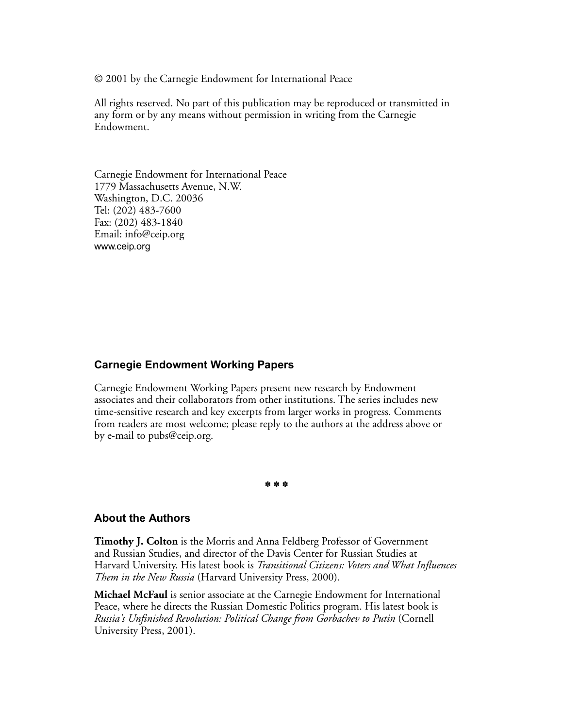© 2001 by the Carnegie Endowment for International Peace

All rights reserved. No part of this publication may be reproduced or transmitted in any form or by any means without permission in writing from the Carnegie Endowment.

Carnegie Endowment for International Peace 1779 Massachusetts Avenue, N.W. Washington, D.C. 20036 Tel: (202) 483-7600 Fax: (202) 483-1840 Email: info@ceip.org www.ceip.org

#### **Carnegie Endowment Working Papers**

Carnegie Endowment Working Papers present new research by Endowment associates and their collaborators from other institutions. The series includes new time-sensitive research and key excerpts from larger works in progress. Comments from readers are most welcome; please reply to the authors at the address above or by e-mail to pubs@ceip.org.

✽✽✽

#### **About the Authors**

**Timothy J. Colton** is the Morris and Anna Feldberg Professor of Government and Russian Studies, and director of the Davis Center for Russian Studies at Harvard University. His latest book is *Transitional Citizens: Voters and What Influences Them in the New Russia* (Harvard University Press, 2000).

**Michael McFaul** is senior associate at the Carnegie Endowment for International Peace, where he directs the Russian Domestic Politics program. His latest book is *Russia's Unfinished Revolution: Political Change from Gorbachev to Putin* (Cornell University Press, 2001).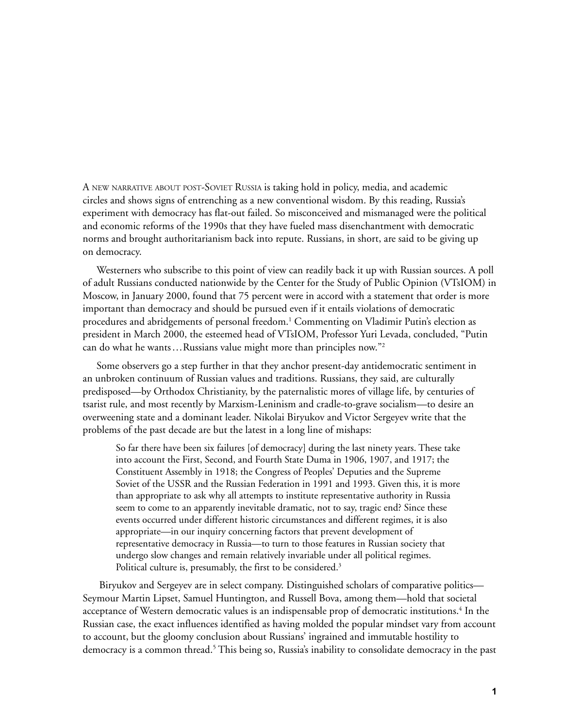A NEW NARRATIVE ABOUT POST-SOVIET RUSSIA is taking hold in policy, media, and academic circles and shows signs of entrenching as a new conventional wisdom. By this reading, Russia's experiment with democracy has flat-out failed. So misconceived and mismanaged were the political and economic reforms of the 1990s that they have fueled mass disenchantment with democratic norms and brought authoritarianism back into repute. Russians, in short, are said to be giving up on democracy.

Westerners who subscribe to this point of view can readily back it up with Russian sources. A poll of adult Russians conducted nationwide by the Center for the Study of Public Opinion (VTsIOM) in Moscow, in January 2000, found that 75 percent were in accord with a statement that order is more important than democracy and should be pursued even if it entails violations of democratic procedures and abridgements of personal freedom.1 Commenting on Vladimir Putin's election as president in March 2000, the esteemed head of VTsIOM, Professor Yuri Levada, concluded, "Putin can do what he wants…Russians value might more than principles now."2

Some observers go a step further in that they anchor present-day antidemocratic sentiment in an unbroken continuum of Russian values and traditions. Russians, they said, are culturally predisposed—by Orthodox Christianity, by the paternalistic mores of village life, by centuries of tsarist rule, and most recently by Marxism-Leninism and cradle-to-grave socialism—to desire an overweening state and a dominant leader. Nikolai Biryukov and Victor Sergeyev write that the problems of the past decade are but the latest in a long line of mishaps:

So far there have been six failures [of democracy] during the last ninety years. These take into account the First, Second, and Fourth State Duma in 1906, 1907, and 1917; the Constituent Assembly in 1918; the Congress of Peoples' Deputies and the Supreme Soviet of the USSR and the Russian Federation in 1991 and 1993. Given this, it is more than appropriate to ask why all attempts to institute representative authority in Russia seem to come to an apparently inevitable dramatic, not to say, tragic end? Since these events occurred under different historic circumstances and different regimes, it is also appropriate—in our inquiry concerning factors that prevent development of representative democracy in Russia—to turn to those features in Russian society that undergo slow changes and remain relatively invariable under all political regimes. Political culture is, presumably, the first to be considered.<sup>3</sup>

 Biryukov and Sergeyev are in select company. Distinguished scholars of comparative politics— Seymour Martin Lipset, Samuel Huntington, and Russell Bova, among them—hold that societal acceptance of Western democratic values is an indispensable prop of democratic institutions. $^4$  In the Russian case, the exact influences identified as having molded the popular mindset vary from account to account, but the gloomy conclusion about Russians' ingrained and immutable hostility to democracy is a common thread.<sup>5</sup> This being so, Russia's inability to consolidate democracy in the past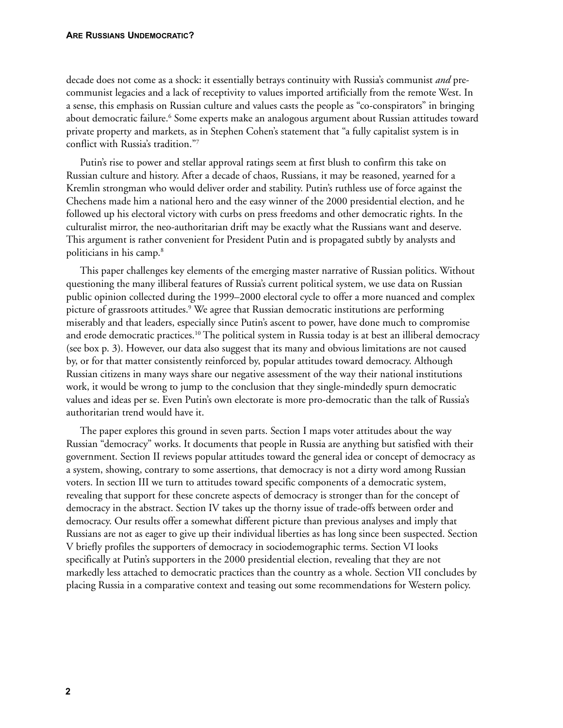decade does not come as a shock: it essentially betrays continuity with Russia's communist *and* precommunist legacies and a lack of receptivity to values imported artificially from the remote West. In a sense, this emphasis on Russian culture and values casts the people as "co-conspirators" in bringing about democratic failure.<sup>6</sup> Some experts make an analogous argument about Russian attitudes toward private property and markets, as in Stephen Cohen's statement that "a fully capitalist system is in conflict with Russia's tradition."7

Putin's rise to power and stellar approval ratings seem at first blush to confirm this take on Russian culture and history. After a decade of chaos, Russians, it may be reasoned, yearned for a Kremlin strongman who would deliver order and stability. Putin's ruthless use of force against the Chechens made him a national hero and the easy winner of the 2000 presidential election, and he followed up his electoral victory with curbs on press freedoms and other democratic rights. In the culturalist mirror, the neo-authoritarian drift may be exactly what the Russians want and deserve. This argument is rather convenient for President Putin and is propagated subtly by analysts and politicians in his camp.8

This paper challenges key elements of the emerging master narrative of Russian politics. Without questioning the many illiberal features of Russia's current political system, we use data on Russian public opinion collected during the 1999–2000 electoral cycle to offer a more nuanced and complex picture of grassroots attitudes.<sup>9</sup> We agree that Russian democratic institutions are performing miserably and that leaders, especially since Putin's ascent to power, have done much to compromise and erode democratic practices.10 The political system in Russia today is at best an illiberal democracy (see box p. 3). However, our data also suggest that its many and obvious limitations are not caused by, or for that matter consistently reinforced by, popular attitudes toward democracy. Although Russian citizens in many ways share our negative assessment of the way their national institutions work, it would be wrong to jump to the conclusion that they single-mindedly spurn democratic values and ideas per se. Even Putin's own electorate is more pro-democratic than the talk of Russia's authoritarian trend would have it.

The paper explores this ground in seven parts. Section I maps voter attitudes about the way Russian "democracy" works. It documents that people in Russia are anything but satisfied with their government. Section II reviews popular attitudes toward the general idea or concept of democracy as a system, showing, contrary to some assertions, that democracy is not a dirty word among Russian voters. In section III we turn to attitudes toward specific components of a democratic system, revealing that support for these concrete aspects of democracy is stronger than for the concept of democracy in the abstract. Section IV takes up the thorny issue of trade-offs between order and democracy. Our results offer a somewhat different picture than previous analyses and imply that Russians are not as eager to give up their individual liberties as has long since been suspected. Section V briefly profiles the supporters of democracy in sociodemographic terms. Section VI looks specifically at Putin's supporters in the 2000 presidential election, revealing that they are not markedly less attached to democratic practices than the country as a whole. Section VII concludes by placing Russia in a comparative context and teasing out some recommendations for Western policy.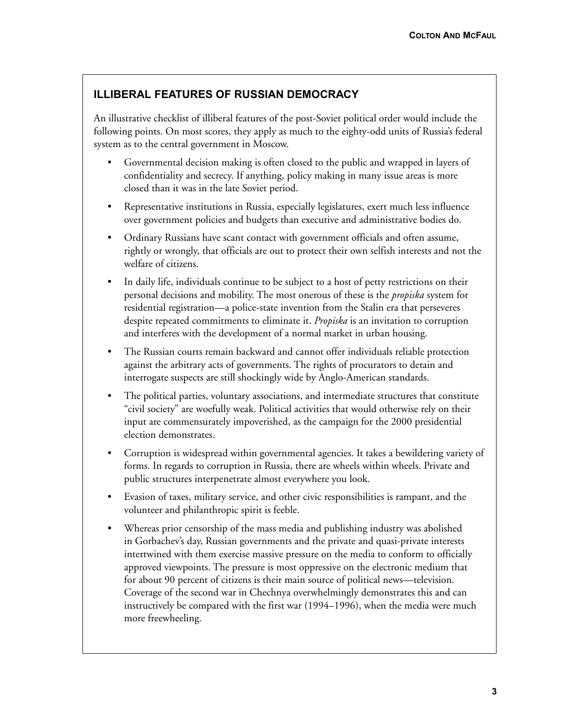# **ILLIBERAL FEATURES OF RUSSIAN DEMOCRACY**

An illustrative checklist of illiberal features of the post-Soviet political order would include the following points. On most scores, they apply as much to the eighty-odd units of Russia's federal system as to the central government in Moscow.

- Governmental decision making is often closed to the public and wrapped in layers of confidentiality and secrecy. If anything, policy making in many issue areas is more closed than it was in the late Soviet period.
- Representative institutions in Russia, especially legislatures, exert much less influence over government policies and budgets than executive and administrative bodies do.
- Ordinary Russians have scant contact with government officials and often assume, rightly or wrongly, that officials are out to protect their own selfish interests and not the welfare of citizens.
- In daily life, individuals continue to be subject to a host of petty restrictions on their personal decisions and mobility. The most onerous of these is the *propiska* system for residential registration—a police-state invention from the Stalin era that perseveres despite repeated commitments to eliminate it. *Propiska* is an invitation to corruption and interferes with the development of a normal market in urban housing.
- The Russian courts remain backward and cannot offer individuals reliable protection against the arbitrary acts of governments. The rights of procurators to detain and interrogate suspects are still shockingly wide by Anglo-American standards.
- The political parties, voluntary associations, and intermediate structures that constitute "civil society" are woefully weak. Political activities that would otherwise rely on their input are commensurately impoverished, as the campaign for the 2000 presidential election demonstrates.
- Corruption is widespread within governmental agencies. It takes a bewildering variety of forms. In regards to corruption in Russia, there are wheels within wheels. Private and public structures interpenetrate almost everywhere you look.
- Evasion of taxes, military service, and other civic responsibilities is rampant, and the volunteer and philanthropic spirit is feeble.
- Whereas prior censorship of the mass media and publishing industry was abolished in Gorbachev's day, Russian governments and the private and quasi-private interests intertwined with them exercise massive pressure on the media to conform to officially approved viewpoints. The pressure is most oppressive on the electronic medium that for about 90 percent of citizens is their main source of political news—television. Coverage of the second war in Chechnya overwhelmingly demonstrates this and can instructively be compared with the first war (1994–1996), when the media were much more freewheeling.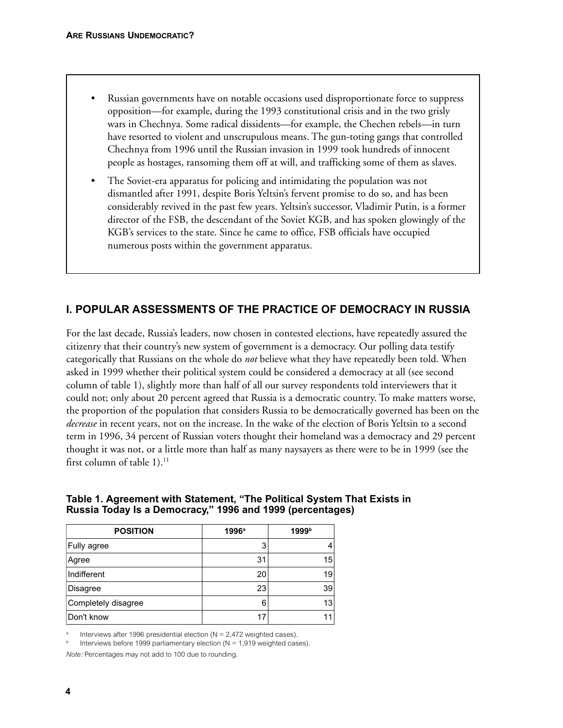- Russian governments have on notable occasions used disproportionate force to suppress opposition—for example, during the 1993 constitutional crisis and in the two grisly wars in Chechnya. Some radical dissidents—for example, the Chechen rebels—in turn have resorted to violent and unscrupulous means. The gun-toting gangs that controlled Chechnya from 1996 until the Russian invasion in 1999 took hundreds of innocent people as hostages, ransoming them off at will, and trafficking some of them as slaves.
- The Soviet-era apparatus for policing and intimidating the population was not dismantled after 1991, despite Boris Yeltsin's fervent promise to do so, and has been considerably revived in the past few years. Yeltsin's successor, Vladimir Putin, is a former director of the FSB, the descendant of the Soviet KGB, and has spoken glowingly of the KGB's services to the state. Since he came to office, FSB officials have occupied numerous posts within the government apparatus.

# **I. POPULAR ASSESSMENTS OF THE PRACTICE OF DEMOCRACY IN RUSSIA**

For the last decade, Russia's leaders, now chosen in contested elections, have repeatedly assured the citizenry that their country's new system of government is a democracy. Our polling data testify categorically that Russians on the whole do *not* believe what they have repeatedly been told. When asked in 1999 whether their political system could be considered a democracy at all (see second column of table 1), slightly more than half of all our survey respondents told interviewers that it could not; only about 20 percent agreed that Russia is a democratic country. To make matters worse, the proportion of the population that considers Russia to be democratically governed has been on the *decrease* in recent years, not on the increase. In the wake of the election of Boris Yeltsin to a second term in 1996, 34 percent of Russian voters thought their homeland was a democracy and 29 percent thought it was not, or a little more than half as many naysayers as there were to be in 1999 (see the first column of table  $1$ ).<sup>11</sup>

| Table 1. Agreement with Statement, "The Political System That Exists in |  |
|-------------------------------------------------------------------------|--|
| Russia Today Is a Democracy," 1996 and 1999 (percentages)               |  |

| <b>POSITION</b>     | $1996^a$ | 1999b |
|---------------------|----------|-------|
| Fully agree         | 3        | 4     |
| Agree               | 31       | 15    |
| Indifferent         | 20       | 19    |
| Disagree            | 23       | 39    |
| Completely disagree | 6        | 13    |
| Don't know          | 17       | 11    |

Interviews after 1996 presidential election ( $N = 2,472$  weighted cases).

*Note:* Percentages may not add to 100 due to rounding.

Interviews before 1999 parliamentary election ( $N = 1,919$  weighted cases).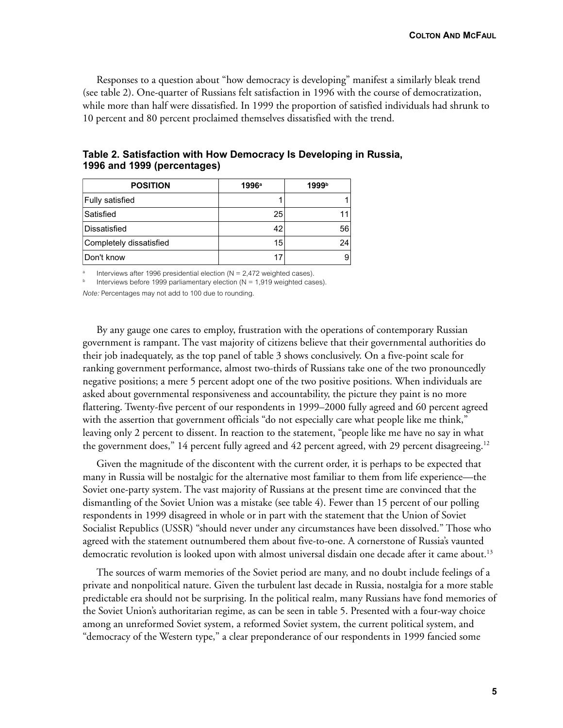**COLTON AND MCFAUL**

Responses to a question about "how democracy is developing" manifest a similarly bleak trend (see table 2). One-quarter of Russians felt satisfaction in 1996 with the course of democratization, while more than half were dissatisfied. In 1999 the proportion of satisfied individuals had shrunk to 10 percent and 80 percent proclaimed themselves dissatisfied with the trend.

| <b>POSITION</b>         | $1996^a$ | 1999b |
|-------------------------|----------|-------|
| <b>Fully satisfied</b>  |          |       |
| Satisfied               | 25       |       |
| Dissatisfied            | 42       | 56    |
| Completely dissatisfied | 15       | 24    |
| Don't know              | 17       |       |

## **Table 2. Satisfaction with How Democracy Is Developing in Russia, 1996 and 1999 (percentages)**

Interviews after 1996 presidential election ( $N = 2,472$  weighted cases).

Interviews before 1999 parliamentary election ( $N = 1,919$  weighted cases).

*Note:* Percentages may not add to 100 due to rounding.

By any gauge one cares to employ, frustration with the operations of contemporary Russian government is rampant. The vast majority of citizens believe that their governmental authorities do their job inadequately, as the top panel of table 3 shows conclusively. On a five-point scale for ranking government performance, almost two-thirds of Russians take one of the two pronouncedly negative positions; a mere 5 percent adopt one of the two positive positions. When individuals are asked about governmental responsiveness and accountability, the picture they paint is no more flattering. Twenty-five percent of our respondents in 1999–2000 fully agreed and 60 percent agreed with the assertion that government officials "do not especially care what people like me think," leaving only 2 percent to dissent. In reaction to the statement, "people like me have no say in what the government does," 14 percent fully agreed and 42 percent agreed, with 29 percent disagreeing.<sup>12</sup>

Given the magnitude of the discontent with the current order, it is perhaps to be expected that many in Russia will be nostalgic for the alternative most familiar to them from life experience—the Soviet one-party system. The vast majority of Russians at the present time are convinced that the dismantling of the Soviet Union was a mistake (see table 4). Fewer than 15 percent of our polling respondents in 1999 disagreed in whole or in part with the statement that the Union of Soviet Socialist Republics (USSR) "should never under any circumstances have been dissolved." Those who agreed with the statement outnumbered them about five-to-one. A cornerstone of Russia's vaunted democratic revolution is looked upon with almost universal disdain one decade after it came about.<sup>13</sup>

The sources of warm memories of the Soviet period are many, and no doubt include feelings of a private and nonpolitical nature. Given the turbulent last decade in Russia, nostalgia for a more stable predictable era should not be surprising. In the political realm, many Russians have fond memories of the Soviet Union's authoritarian regime, as can be seen in table 5. Presented with a four-way choice among an unreformed Soviet system, a reformed Soviet system, the current political system, and "democracy of the Western type," a clear preponderance of our respondents in 1999 fancied some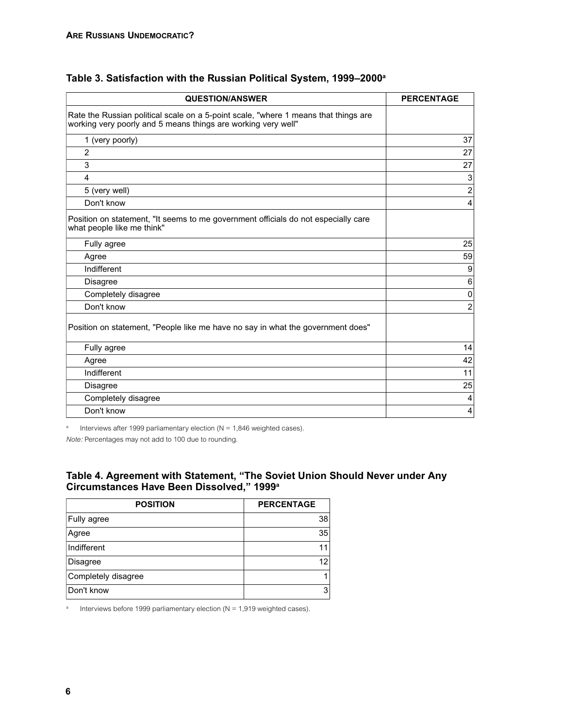| <b>QUESTION/ANSWER</b>                                                                                                                               | <b>PERCENTAGE</b> |
|------------------------------------------------------------------------------------------------------------------------------------------------------|-------------------|
| Rate the Russian political scale on a 5-point scale, "where 1 means that things are<br>working very poorly and 5 means things are working very well" |                   |
| 1 (very poorly)                                                                                                                                      | 37                |
| $\overline{2}$                                                                                                                                       | 27                |
| 3                                                                                                                                                    | 27                |
| 4                                                                                                                                                    | 3                 |
| 5 (very well)                                                                                                                                        | $\overline{c}$    |
| Don't know                                                                                                                                           | 4                 |
| Position on statement, "It seems to me government officials do not especially care<br>what people like me think"                                     |                   |
| Fully agree                                                                                                                                          | 25                |
| Agree                                                                                                                                                | 59                |
| Indifferent                                                                                                                                          | 9                 |
| Disagree                                                                                                                                             | $\,6$             |
| Completely disagree                                                                                                                                  | 0                 |
| Don't know                                                                                                                                           | $\overline{2}$    |
| Position on statement, "People like me have no say in what the government does"                                                                      |                   |
| Fully agree                                                                                                                                          | 14                |
| Agree                                                                                                                                                | 42                |
| Indifferent                                                                                                                                          | 11                |
| Disagree                                                                                                                                             | 25                |
| Completely disagree                                                                                                                                  | 4                 |
| Don't know                                                                                                                                           | $\overline{4}$    |

# **Table 3. Satisfaction with the Russian Political System, 1999–2000a**

<sup>a</sup> Interviews after 1999 parliamentary election ( $N = 1,846$  weighted cases).

*Note:* Percentages may not add to 100 due to rounding.

## **Table 4. Agreement with Statement, "The Soviet Union Should Never under Any Circumstances Have Been Dissolved," 1999a**

| <b>POSITION</b>     | <b>PERCENTAGE</b> |
|---------------------|-------------------|
| Fully agree         | 38                |
| Agree               | 35                |
| Indifferent         |                   |
| Disagree            |                   |
| Completely disagree |                   |
| Don't know          | 3                 |

<sup>a</sup> Interviews before 1999 parliamentary election ( $N = 1,919$  weighted cases).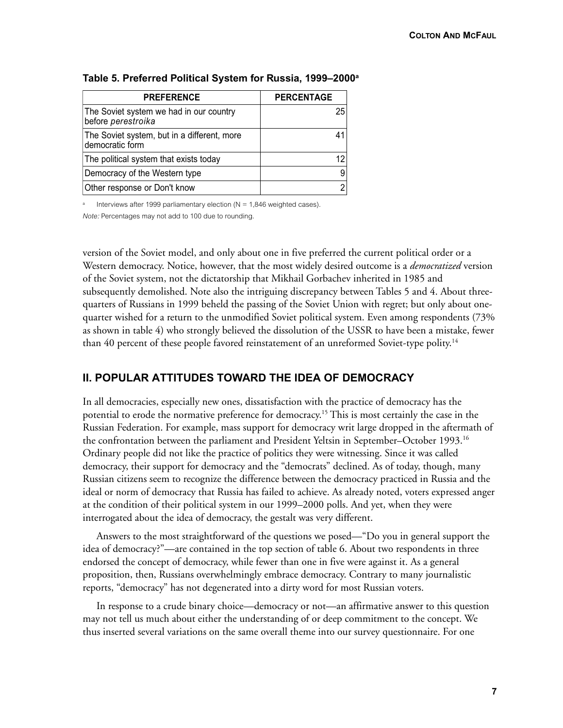| <b>PREFERENCE</b>                                              | <b>PERCENTAGE</b> |
|----------------------------------------------------------------|-------------------|
| The Soviet system we had in our country<br>before perestroika  | 25                |
| The Soviet system, but in a different, more<br>democratic form | 41                |
| The political system that exists today                         | 12                |
| Democracy of the Western type                                  |                   |
| Other response or Don't know                                   |                   |

#### **Table 5. Preferred Political System for Russia, 1999–2000a**

Interviews after 1999 parliamentary election ( $N = 1,846$  weighted cases).

*Note:* Percentages may not add to 100 due to rounding.

version of the Soviet model, and only about one in five preferred the current political order or a Western democracy. Notice, however, that the most widely desired outcome is a *democratized* version of the Soviet system, not the dictatorship that Mikhail Gorbachev inherited in 1985 and subsequently demolished. Note also the intriguing discrepancy between Tables 5 and 4. About threequarters of Russians in 1999 beheld the passing of the Soviet Union with regret; but only about onequarter wished for a return to the unmodified Soviet political system. Even among respondents (73% as shown in table 4) who strongly believed the dissolution of the USSR to have been a mistake, fewer than 40 percent of these people favored reinstatement of an unreformed Soviet-type polity.<sup>14</sup>

## **II. POPULAR ATTITUDES TOWARD THE IDEA OF DEMOCRACY**

In all democracies, especially new ones, dissatisfaction with the practice of democracy has the potential to erode the normative preference for democracy.15 This is most certainly the case in the Russian Federation. For example, mass support for democracy writ large dropped in the aftermath of the confrontation between the parliament and President Yeltsin in September–October 1993.16 Ordinary people did not like the practice of politics they were witnessing. Since it was called democracy, their support for democracy and the "democrats" declined. As of today, though, many Russian citizens seem to recognize the difference between the democracy practiced in Russia and the ideal or norm of democracy that Russia has failed to achieve. As already noted, voters expressed anger at the condition of their political system in our 1999–2000 polls. And yet, when they were interrogated about the idea of democracy, the gestalt was very different.

Answers to the most straightforward of the questions we posed—"Do you in general support the idea of democracy?"—are contained in the top section of table 6. About two respondents in three endorsed the concept of democracy, while fewer than one in five were against it. As a general proposition, then, Russians overwhelmingly embrace democracy. Contrary to many journalistic reports, "democracy" has not degenerated into a dirty word for most Russian voters.

In response to a crude binary choice—democracy or not—an affirmative answer to this question may not tell us much about either the understanding of or deep commitment to the concept. We thus inserted several variations on the same overall theme into our survey questionnaire. For one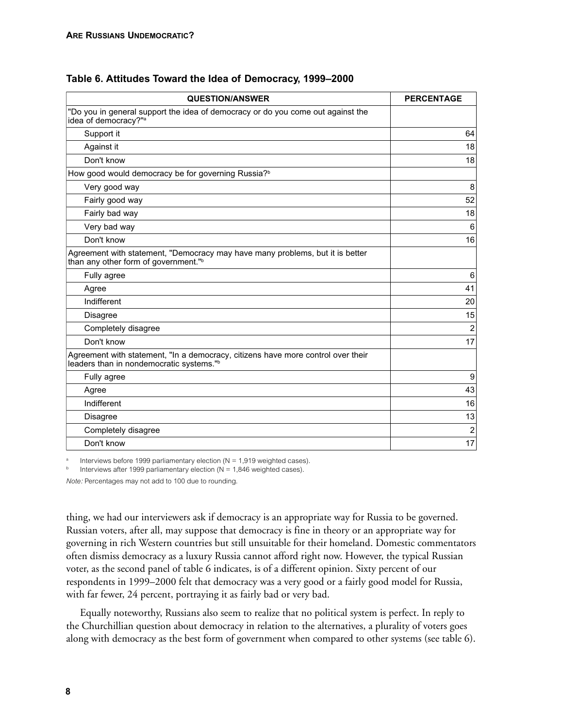| <b>QUESTION/ANSWER</b>                                                                                                                   | <b>PERCENTAGE</b> |
|------------------------------------------------------------------------------------------------------------------------------------------|-------------------|
| "Do you in general support the idea of democracy or do you come out against the<br>idea of democracy?" <sup>a</sup>                      |                   |
| Support it                                                                                                                               | 64                |
| Against it                                                                                                                               | 18                |
| Don't know                                                                                                                               | 18                |
| How good would democracy be for governing Russia? <sup>b</sup>                                                                           |                   |
| Very good way                                                                                                                            | 8                 |
| Fairly good way                                                                                                                          | 52                |
| Fairly bad way                                                                                                                           | 18                |
| Very bad way                                                                                                                             | 6                 |
| Don't know                                                                                                                               | 16                |
| Agreement with statement, "Democracy may have many problems, but it is better<br>than any other form of government."b                    |                   |
| Fully agree                                                                                                                              | 6                 |
| Agree                                                                                                                                    | 41                |
| Indifferent                                                                                                                              | 20                |
| <b>Disagree</b>                                                                                                                          | 15                |
| Completely disagree                                                                                                                      | $\overline{2}$    |
| Don't know                                                                                                                               | 17                |
| Agreement with statement, "In a democracy, citizens have more control over their<br>leaders than in nondemocratic systems." <sup>b</sup> |                   |
| Fully agree                                                                                                                              | 9                 |
| Agree                                                                                                                                    | 43                |
| Indifferent                                                                                                                              | 16                |
| Disagree                                                                                                                                 | 13                |
| Completely disagree                                                                                                                      | $\overline{2}$    |
| Don't know                                                                                                                               | 17                |

**Table 6. Attitudes Toward the Idea of Democracy, 1999–2000**

Interviews before 1999 parliamentary election ( $N = 1,919$  weighted cases).

Interviews after 1999 parliamentary election ( $N = 1,846$  weighted cases).

*Note:* Percentages may not add to 100 due to rounding.

thing, we had our interviewers ask if democracy is an appropriate way for Russia to be governed. Russian voters, after all, may suppose that democracy is fine in theory or an appropriate way for governing in rich Western countries but still unsuitable for their homeland. Domestic commentators often dismiss democracy as a luxury Russia cannot afford right now. However, the typical Russian voter, as the second panel of table 6 indicates, is of a different opinion. Sixty percent of our respondents in 1999–2000 felt that democracy was a very good or a fairly good model for Russia, with far fewer, 24 percent, portraying it as fairly bad or very bad.

Equally noteworthy, Russians also seem to realize that no political system is perfect. In reply to the Churchillian question about democracy in relation to the alternatives, a plurality of voters goes along with democracy as the best form of government when compared to other systems (see table 6).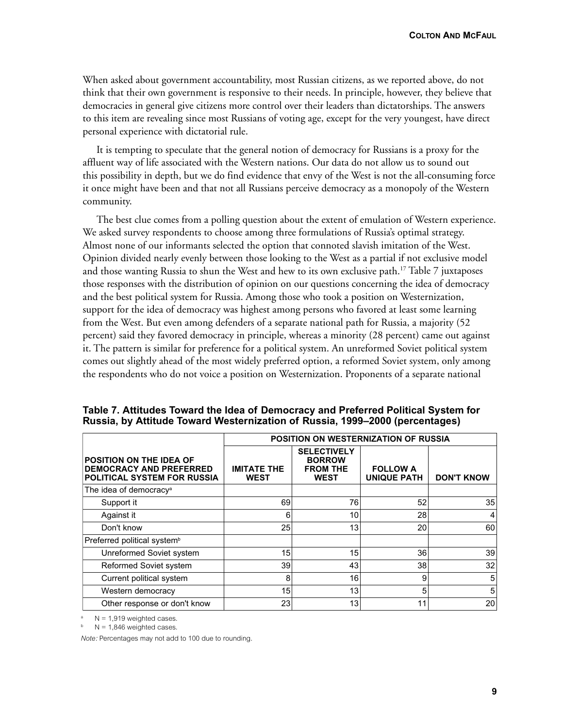When asked about government accountability, most Russian citizens, as we reported above, do not think that their own government is responsive to their needs. In principle, however, they believe that democracies in general give citizens more control over their leaders than dictatorships. The answers to this item are revealing since most Russians of voting age, except for the very youngest, have direct personal experience with dictatorial rule.

It is tempting to speculate that the general notion of democracy for Russians is a proxy for the affluent way of life associated with the Western nations. Our data do not allow us to sound out this possibility in depth, but we do find evidence that envy of the West is not the all-consuming force it once might have been and that not all Russians perceive democracy as a monopoly of the Western community.

The best clue comes from a polling question about the extent of emulation of Western experience. We asked survey respondents to choose among three formulations of Russia's optimal strategy. Almost none of our informants selected the option that connoted slavish imitation of the West. Opinion divided nearly evenly between those looking to the West as a partial if not exclusive model and those wanting Russia to shun the West and hew to its own exclusive path.<sup>17</sup> Table 7 juxtaposes those responses with the distribution of opinion on our questions concerning the idea of democracy and the best political system for Russia. Among those who took a position on Westernization, support for the idea of democracy was highest among persons who favored at least some learning from the West. But even among defenders of a separate national path for Russia, a majority (52 percent) said they favored democracy in principle, whereas a minority (28 percent) came out against it. The pattern is similar for preference for a political system. An unreformed Soviet political system comes out slightly ahead of the most widely preferred option, a reformed Soviet system, only among the respondents who do not voice a position on Westernization. Proponents of a separate national

|                                                                                                 | POSITION ON WESTERNIZATION OF RUSSIA |                                                                       |                                       |                   |
|-------------------------------------------------------------------------------------------------|--------------------------------------|-----------------------------------------------------------------------|---------------------------------------|-------------------|
| <b>POSITION ON THE IDEA OF</b><br><b>DEMOCRACY AND PREFERRED</b><br>POLITICAL SYSTEM FOR RUSSIA | <b>IMITATE THE</b><br><b>WEST</b>    | <b>SELECTIVELY</b><br><b>BORROW</b><br><b>FROM THE</b><br><b>WEST</b> | <b>FOLLOW A</b><br><b>UNIQUE PATH</b> | <b>DON'T KNOW</b> |
| The idea of democracy <sup>a</sup>                                                              |                                      |                                                                       |                                       |                   |
| Support it                                                                                      | 69                                   | 76                                                                    | 52                                    | 35                |
| Against it                                                                                      | 6                                    | 10                                                                    | 28                                    |                   |
| Don't know                                                                                      | 25                                   | 13                                                                    | 20                                    | 60                |
| Preferred political system <sup>b</sup>                                                         |                                      |                                                                       |                                       |                   |
| Unreformed Soviet system                                                                        | 15                                   | 15                                                                    | 36                                    | 39                |
| Reformed Soviet system                                                                          | 39                                   | 43                                                                    | 38                                    | 32                |
| Current political system                                                                        | 8                                    | 16                                                                    | 9                                     | 5                 |
| Western democracy                                                                               | 15                                   | 13                                                                    | 5                                     | 5                 |
| Other response or don't know                                                                    | 23                                   | 13                                                                    | 11                                    | 20                |

**Table 7. Attitudes Toward the Idea of Democracy and Preferred Political System for Russia, by Attitude Toward Westernization of Russia, 1999–2000 (percentages)**

 $N = 1,919$  weighted cases.

 $N = 1,846$  weighted cases.

*Note:* Percentages may not add to 100 due to rounding.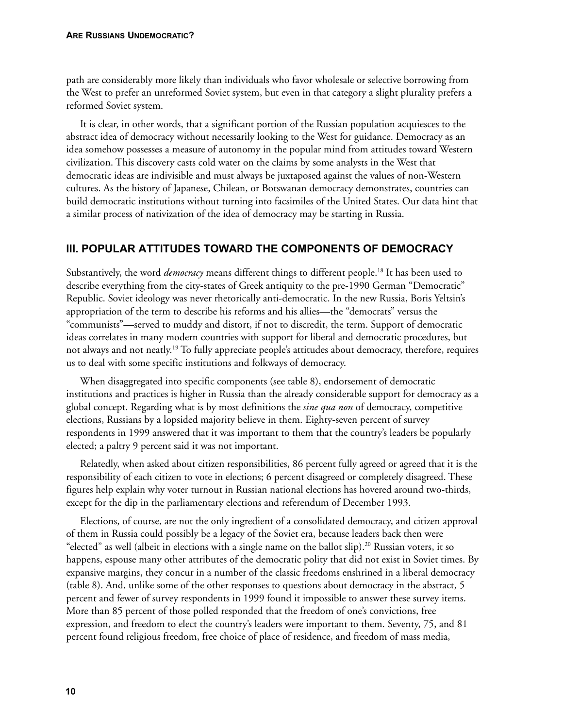path are considerably more likely than individuals who favor wholesale or selective borrowing from the West to prefer an unreformed Soviet system, but even in that category a slight plurality prefers a reformed Soviet system.

It is clear, in other words, that a significant portion of the Russian population acquiesces to the abstract idea of democracy without necessarily looking to the West for guidance. Democracy as an idea somehow possesses a measure of autonomy in the popular mind from attitudes toward Western civilization. This discovery casts cold water on the claims by some analysts in the West that democratic ideas are indivisible and must always be juxtaposed against the values of non-Western cultures. As the history of Japanese, Chilean, or Botswanan democracy demonstrates, countries can build democratic institutions without turning into facsimiles of the United States. Our data hint that a similar process of nativization of the idea of democracy may be starting in Russia.

# **III. POPULAR ATTITUDES TOWARD THE COMPONENTS OF DEMOCRACY**

Substantively, the word *democracy* means different things to different people.18 It has been used to describe everything from the city-states of Greek antiquity to the pre-1990 German "Democratic" Republic. Soviet ideology was never rhetorically anti-democratic. In the new Russia, Boris Yeltsin's appropriation of the term to describe his reforms and his allies—the "democrats" versus the "communists"—served to muddy and distort, if not to discredit, the term. Support of democratic ideas correlates in many modern countries with support for liberal and democratic procedures, but not always and not neatly.19 To fully appreciate people's attitudes about democracy, therefore, requires us to deal with some specific institutions and folkways of democracy.

When disaggregated into specific components (see table 8), endorsement of democratic institutions and practices is higher in Russia than the already considerable support for democracy as a global concept. Regarding what is by most definitions the *sine qua non* of democracy, competitive elections, Russians by a lopsided majority believe in them. Eighty-seven percent of survey respondents in 1999 answered that it was important to them that the country's leaders be popularly elected; a paltry 9 percent said it was not important.

Relatedly, when asked about citizen responsibilities, 86 percent fully agreed or agreed that it is the responsibility of each citizen to vote in elections; 6 percent disagreed or completely disagreed. These figures help explain why voter turnout in Russian national elections has hovered around two-thirds, except for the dip in the parliamentary elections and referendum of December 1993.

Elections, of course, are not the only ingredient of a consolidated democracy, and citizen approval of them in Russia could possibly be a legacy of the Soviet era, because leaders back then were "elected" as well (albeit in elections with a single name on the ballot slip).<sup>20</sup> Russian voters, it so happens, espouse many other attributes of the democratic polity that did not exist in Soviet times. By expansive margins, they concur in a number of the classic freedoms enshrined in a liberal democracy (table 8). And, unlike some of the other responses to questions about democracy in the abstract, 5 percent and fewer of survey respondents in 1999 found it impossible to answer these survey items. More than 85 percent of those polled responded that the freedom of one's convictions, free expression, and freedom to elect the country's leaders were important to them. Seventy, 75, and 81 percent found religious freedom, free choice of place of residence, and freedom of mass media,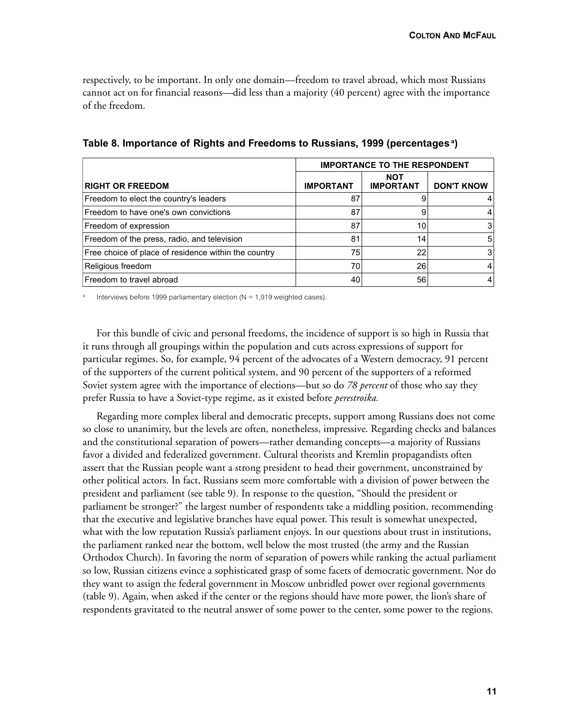respectively, to be important. In only one domain—freedom to travel abroad, which most Russians cannot act on for financial reasons—did less than a majority (40 percent) agree with the importance of the freedom.

|                                                      | <b>IMPORTANCE TO THE RESPONDENT</b> |                                |                   |
|------------------------------------------------------|-------------------------------------|--------------------------------|-------------------|
| <b>RIGHT OR FREEDOM</b>                              | <b>IMPORTANT</b>                    | <b>NOT</b><br><b>IMPORTANT</b> | <b>DON'T KNOW</b> |
| Freedom to elect the country's leaders               | 87                                  |                                | 4                 |
| Freedom to have one's own convictions                | 87                                  | 9                              | 4                 |
| Freedom of expression                                | 87                                  | 10                             | 3                 |
| Freedom of the press, radio, and television          | 81                                  | 14                             | 5                 |
| Free choice of place of residence within the country | 75                                  | 22                             | 3                 |
| Religious freedom                                    | 70                                  | 26                             | 4                 |
| Freedom to travel abroad                             | 40                                  | 56                             | 4                 |

**Table 8. Importance of Rights and Freedoms to Russians, 1999 (percentages a)**

Interviews before 1999 parliamentary election ( $N = 1,919$  weighted cases).

For this bundle of civic and personal freedoms, the incidence of support is so high in Russia that it runs through all groupings within the population and cuts across expressions of support for particular regimes. So, for example, 94 percent of the advocates of a Western democracy, 91 percent of the supporters of the current political system, and 90 percent of the supporters of a reformed Soviet system agree with the importance of elections—but so do *78 percent* of those who say they prefer Russia to have a Soviet-type regime, as it existed before *perestroika.*

Regarding more complex liberal and democratic precepts, support among Russians does not come so close to unanimity, but the levels are often, nonetheless, impressive. Regarding checks and balances and the constitutional separation of powers—rather demanding concepts—a majority of Russians favor a divided and federalized government. Cultural theorists and Kremlin propagandists often assert that the Russian people want a strong president to head their government, unconstrained by other political actors. In fact, Russians seem more comfortable with a division of power between the president and parliament (see table 9). In response to the question, "Should the president or parliament be stronger?" the largest number of respondents take a middling position, recommending that the executive and legislative branches have equal power. This result is somewhat unexpected, what with the low reputation Russia's parliament enjoys. In our questions about trust in institutions, the parliament ranked near the bottom, well below the most trusted (the army and the Russian Orthodox Church). In favoring the norm of separation of powers while ranking the actual parliament so low, Russian citizens evince a sophisticated grasp of some facets of democratic government. Nor do they want to assign the federal government in Moscow unbridled power over regional governments (table 9). Again, when asked if the center or the regions should have more power, the lion's share of respondents gravitated to the neutral answer of some power to the center, some power to the regions.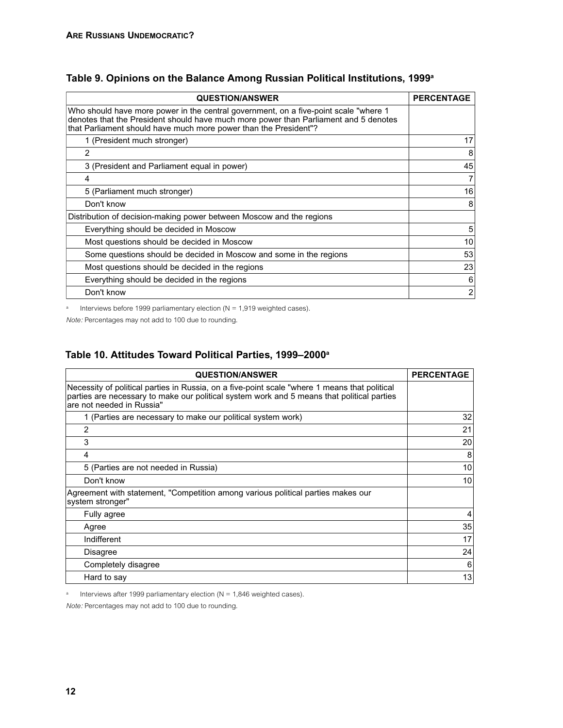| <b>QUESTION/ANSWER</b>                                                                                                                                                                                                                           | <b>PERCENTAGE</b> |
|--------------------------------------------------------------------------------------------------------------------------------------------------------------------------------------------------------------------------------------------------|-------------------|
| Who should have more power in the central government, on a five-point scale "where 1<br>denotes that the President should have much more power than Parliament and 5 denotes<br>that Parliament should have much more power than the President"? |                   |
| 1 (President much stronger)                                                                                                                                                                                                                      | 17                |
| 2                                                                                                                                                                                                                                                | 8                 |
| 3 (President and Parliament equal in power)                                                                                                                                                                                                      | 45                |
| 4                                                                                                                                                                                                                                                | 71                |
| 5 (Parliament much stronger)                                                                                                                                                                                                                     | 16                |
| Don't know                                                                                                                                                                                                                                       | 8                 |
| Distribution of decision-making power between Moscow and the regions                                                                                                                                                                             |                   |
| Everything should be decided in Moscow                                                                                                                                                                                                           | 5                 |
| Most questions should be decided in Moscow                                                                                                                                                                                                       | 10 <sup>1</sup>   |
| Some questions should be decided in Moscow and some in the regions                                                                                                                                                                               | 53                |
| Most questions should be decided in the regions                                                                                                                                                                                                  | 23                |
| Everything should be decided in the regions                                                                                                                                                                                                      | 6                 |
| Don't know                                                                                                                                                                                                                                       | $\overline{c}$    |

# **Table 9. Opinions on the Balance Among Russian Political Institutions, 1999a**

a Interviews before 1999 parliamentary election ( $N = 1,919$  weighted cases).

*Note:* Percentages may not add to 100 due to rounding.

## **Table 10. Attitudes Toward Political Parties, 1999–2000a**

| <b>QUESTION/ANSWER</b>                                                                                                                                                                                                   | <b>PERCENTAGE</b> |
|--------------------------------------------------------------------------------------------------------------------------------------------------------------------------------------------------------------------------|-------------------|
| Necessity of political parties in Russia, on a five-point scale "where 1 means that political<br>parties are necessary to make our political system work and 5 means that political parties<br>are not needed in Russia" |                   |
| 1 (Parties are necessary to make our political system work)                                                                                                                                                              | 32                |
| 2                                                                                                                                                                                                                        | 21                |
| 3                                                                                                                                                                                                                        | 20                |
| 4                                                                                                                                                                                                                        | 8                 |
| 5 (Parties are not needed in Russia)                                                                                                                                                                                     | 10                |
| Don't know                                                                                                                                                                                                               | 10                |
| Agreement with statement, "Competition among various political parties makes our<br>system stronger"                                                                                                                     |                   |
| Fully agree                                                                                                                                                                                                              | 4                 |
| Agree                                                                                                                                                                                                                    | 35                |
| Indifferent                                                                                                                                                                                                              | 17                |
| <b>Disagree</b>                                                                                                                                                                                                          | 24                |
| Completely disagree                                                                                                                                                                                                      | 6                 |
| Hard to say                                                                                                                                                                                                              | 13                |

<sup>a</sup> Interviews after 1999 parliamentary election ( $N = 1,846$  weighted cases).

*Note:* Percentages may not add to 100 due to rounding.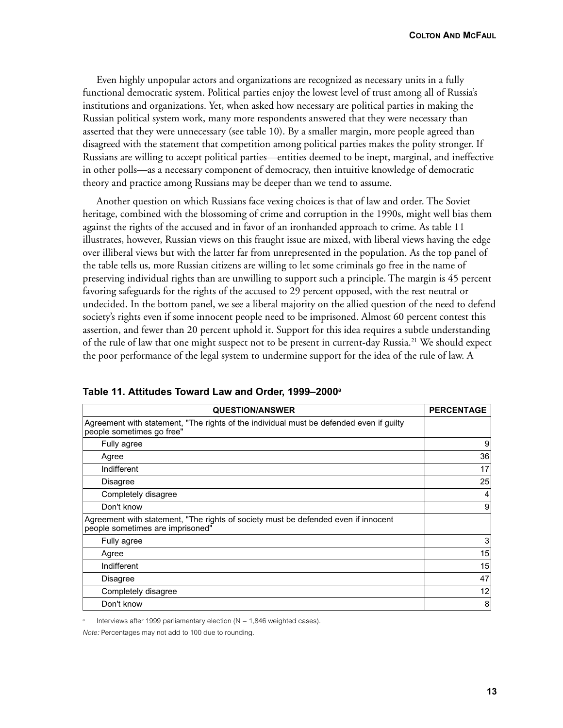Even highly unpopular actors and organizations are recognized as necessary units in a fully functional democratic system. Political parties enjoy the lowest level of trust among all of Russia's institutions and organizations. Yet, when asked how necessary are political parties in making the Russian political system work, many more respondents answered that they were necessary than asserted that they were unnecessary (see table 10). By a smaller margin, more people agreed than disagreed with the statement that competition among political parties makes the polity stronger. If Russians are willing to accept political parties—entities deemed to be inept, marginal, and ineffective in other polls—as a necessary component of democracy, then intuitive knowledge of democratic theory and practice among Russians may be deeper than we tend to assume.

Another question on which Russians face vexing choices is that of law and order. The Soviet heritage, combined with the blossoming of crime and corruption in the 1990s, might well bias them against the rights of the accused and in favor of an ironhanded approach to crime. As table 11 illustrates, however, Russian views on this fraught issue are mixed, with liberal views having the edge over illiberal views but with the latter far from unrepresented in the population. As the top panel of the table tells us, more Russian citizens are willing to let some criminals go free in the name of preserving individual rights than are unwilling to support such a principle. The margin is 45 percent favoring safeguards for the rights of the accused to 29 percent opposed, with the rest neutral or undecided. In the bottom panel, we see a liberal majority on the allied question of the need to defend society's rights even if some innocent people need to be imprisoned. Almost 60 percent contest this assertion, and fewer than 20 percent uphold it. Support for this idea requires a subtle understanding of the rule of law that one might suspect not to be present in current-day Russia.<sup>21</sup> We should expect the poor performance of the legal system to undermine support for the idea of the rule of law. A

| <b>QUESTION/ANSWER</b>                                                                                                 | <b>PERCENTAGE</b> |
|------------------------------------------------------------------------------------------------------------------------|-------------------|
| Agreement with statement, "The rights of the individual must be defended even if guilty<br>people sometimes go free"   |                   |
| Fully agree                                                                                                            | 9                 |
| Agree                                                                                                                  | 36                |
| Indifferent                                                                                                            | 17                |
| <b>Disagree</b>                                                                                                        | 25                |
| Completely disagree                                                                                                    | 4                 |
| Don't know                                                                                                             | 9                 |
| Agreement with statement, "The rights of society must be defended even if innocent<br>people sometimes are imprisoned" |                   |
| Fully agree                                                                                                            | 3                 |
| Agree                                                                                                                  | 15                |
| Indifferent                                                                                                            | 15                |
| <b>Disagree</b>                                                                                                        | 47                |
| Completely disagree                                                                                                    | 12                |
| Don't know                                                                                                             | 8                 |

**Table 11. Attitudes Toward Law and Order, 1999–2000a**

Interviews after 1999 parliamentary election ( $N = 1,846$  weighted cases).

*Note:* Percentages may not add to 100 due to rounding.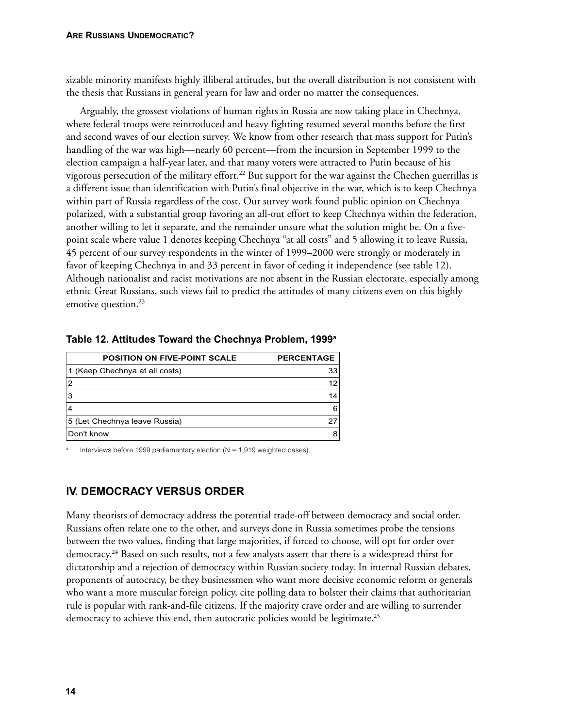sizable minority manifests highly illiberal attitudes, but the overall distribution is not consistent with the thesis that Russians in general yearn for law and order no matter the consequences.

Arguably, the grossest violations of human rights in Russia are now taking place in Chechnya, where federal troops were reintroduced and heavy fighting resumed several months before the first and second waves of our election survey. We know from other research that mass support for Putin's handling of the war was high—nearly 60 percent—from the incursion in September 1999 to the election campaign a half-year later, and that many voters were attracted to Putin because of his vigorous persecution of the military effort.22 But support for the war against the Chechen guerrillas is a different issue than identification with Putin's final objective in the war, which is to keep Chechnya within part of Russia regardless of the cost. Our survey work found public opinion on Chechnya polarized, with a substantial group favoring an all-out effort to keep Chechnya within the federation, another willing to let it separate, and the remainder unsure what the solution might be. On a fivepoint scale where value 1 denotes keeping Chechnya "at all costs" and 5 allowing it to leave Russia, 45 percent of our survey respondents in the winter of 1999–2000 were strongly or moderately in favor of keeping Chechnya in and 33 percent in favor of ceding it independence (see table 12). Although nationalist and racist motivations are not absent in the Russian electorate, especially among ethnic Great Russians, such views fail to predict the attitudes of many citizens even on this highly emotive question.<sup>23</sup>

| <b>POSITION ON FIVE-POINT SCALE</b> | <b>PERCENTAGE</b> |
|-------------------------------------|-------------------|
| 1 (Keep Chechnya at all costs)      | 33                |
| 2                                   | 12                |
| 3                                   | 14                |
|                                     | 6                 |
| 5 (Let Chechnya leave Russia)       | 27                |
| Don't know                          | 8                 |
|                                     |                   |

#### **Table 12. Attitudes Toward the Chechnya Problem, 1999a**

Interviews before 1999 parliamentary election ( $N = 1,919$  weighted cases).

# **IV. DEMOCRACY VERSUS ORDER**

Many theorists of democracy address the potential trade-off between democracy and social order. Russians often relate one to the other, and surveys done in Russia sometimes probe the tensions between the two values, finding that large majorities, if forced to choose, will opt for order over democracy.24 Based on such results, not a few analysts assert that there is a widespread thirst for dictatorship and a rejection of democracy within Russian society today. In internal Russian debates, proponents of autocracy, be they businessmen who want more decisive economic reform or generals who want a more muscular foreign policy, cite polling data to bolster their claims that authoritarian rule is popular with rank-and-file citizens. If the majority crave order and are willing to surrender democracy to achieve this end, then autocratic policies would be legitimate.<sup>25</sup>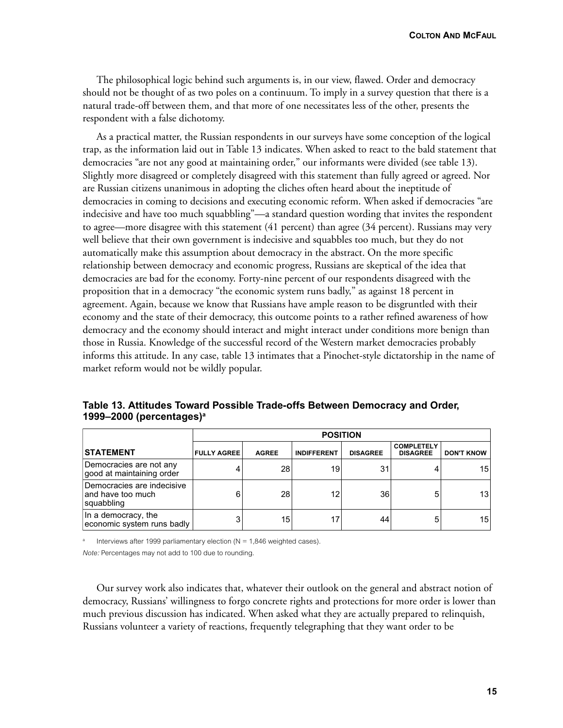**COLTON AND MCFAUL**

The philosophical logic behind such arguments is, in our view, flawed. Order and democracy should not be thought of as two poles on a continuum. To imply in a survey question that there is a natural trade-off between them, and that more of one necessitates less of the other, presents the respondent with a false dichotomy.

As a practical matter, the Russian respondents in our surveys have some conception of the logical trap, as the information laid out in Table 13 indicates. When asked to react to the bald statement that democracies "are not any good at maintaining order," our informants were divided (see table 13). Slightly more disagreed or completely disagreed with this statement than fully agreed or agreed. Nor are Russian citizens unanimous in adopting the cliches often heard about the ineptitude of democracies in coming to decisions and executing economic reform. When asked if democracies "are indecisive and have too much squabbling"—a standard question wording that invites the respondent to agree—more disagree with this statement (41 percent) than agree (34 percent). Russians may very well believe that their own government is indecisive and squabbles too much, but they do not automatically make this assumption about democracy in the abstract. On the more specific relationship between democracy and economic progress, Russians are skeptical of the idea that democracies are bad for the economy. Forty-nine percent of our respondents disagreed with the proposition that in a democracy "the economic system runs badly," as against 18 percent in agreement. Again, because we know that Russians have ample reason to be disgruntled with their economy and the state of their democracy, this outcome points to a rather refined awareness of how democracy and the economy should interact and might interact under conditions more benign than those in Russia. Knowledge of the successful record of the Western market democracies probably informs this attitude. In any case, table 13 intimates that a Pinochet-style dictatorship in the name of market reform would not be wildly popular.

|                                                                | <b>POSITION</b>    |              |                    |                 |                                      |                   |
|----------------------------------------------------------------|--------------------|--------------|--------------------|-----------------|--------------------------------------|-------------------|
| <b>STATEMENT</b>                                               | <b>FULLY AGREE</b> | <b>AGREE</b> | <b>INDIFFERENT</b> | <b>DISAGREE</b> | <b>COMPLETELY</b><br><b>DISAGREE</b> | <b>DON'T KNOW</b> |
| Democracies are not any<br>good at maintaining order           | 4                  | 28           | 19                 | 31              |                                      | 15 <sup>1</sup>   |
| Democracies are indecisive<br>land have too much<br>squabbling | 6                  | 28           | 12                 | 36              | 5                                    | 13 <sup>1</sup>   |
| In a democracy, the<br>economic system runs badly              | 3                  | 15           | 17                 | 44              | 5                                    | 15 <sup>1</sup>   |

**Table 13. Attitudes Toward Possible Trade-offs Between Democracy and Order, 1999–2000 (percentages)a**

Interviews after 1999 parliamentary election ( $N = 1,846$  weighted cases).

*Note:* Percentages may not add to 100 due to rounding.

Our survey work also indicates that, whatever their outlook on the general and abstract notion of democracy, Russians' willingness to forgo concrete rights and protections for more order is lower than much previous discussion has indicated. When asked what they are actually prepared to relinquish, Russians volunteer a variety of reactions, frequently telegraphing that they want order to be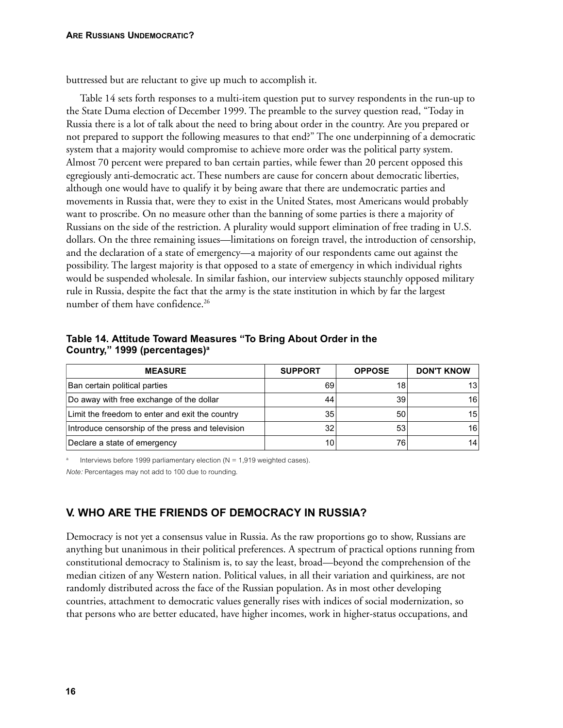buttressed but are reluctant to give up much to accomplish it.

Table 14 sets forth responses to a multi-item question put to survey respondents in the run-up to the State Duma election of December 1999. The preamble to the survey question read, "Today in Russia there is a lot of talk about the need to bring about order in the country. Are you prepared or not prepared to support the following measures to that end?" The one underpinning of a democratic system that a majority would compromise to achieve more order was the political party system. Almost 70 percent were prepared to ban certain parties, while fewer than 20 percent opposed this egregiously anti-democratic act. These numbers are cause for concern about democratic liberties, although one would have to qualify it by being aware that there are undemocratic parties and movements in Russia that, were they to exist in the United States, most Americans would probably want to proscribe. On no measure other than the banning of some parties is there a majority of Russians on the side of the restriction. A plurality would support elimination of free trading in U.S. dollars. On the three remaining issues—limitations on foreign travel, the introduction of censorship, and the declaration of a state of emergency—a majority of our respondents came out against the possibility. The largest majority is that opposed to a state of emergency in which individual rights would be suspended wholesale. In similar fashion, our interview subjects staunchly opposed military rule in Russia, despite the fact that the army is the state institution in which by far the largest number of them have confidence.<sup>26</sup>

**Table 14. Attitude Toward Measures "To Bring About Order in the Country," 1999 (percentages)a**

| <b>MEASURE</b>                                   | <b>SUPPORT</b>  | <b>OPPOSE</b> | <b>DON'T KNOW</b> |
|--------------------------------------------------|-----------------|---------------|-------------------|
| Ban certain political parties                    | 69              | 18            | 13                |
| Do away with free exchange of the dollar         | 44              | 39            | 16                |
| Limit the freedom to enter and exit the country  | 35 <sub>l</sub> | 50            | 15                |
| Introduce censorship of the press and television | 32              | 53            | 16                |
| Declare a state of emergency                     | 10              | 76            | 14                |

Interviews before 1999 parliamentary election ( $N = 1,919$  weighted cases).

*Note:* Percentages may not add to 100 due to rounding.

# **V. WHO ARE THE FRIENDS OF DEMOCRACY IN RUSSIA?**

Democracy is not yet a consensus value in Russia. As the raw proportions go to show, Russians are anything but unanimous in their political preferences. A spectrum of practical options running from constitutional democracy to Stalinism is, to say the least, broad—beyond the comprehension of the median citizen of any Western nation. Political values, in all their variation and quirkiness, are not randomly distributed across the face of the Russian population. As in most other developing countries, attachment to democratic values generally rises with indices of social modernization, so that persons who are better educated, have higher incomes, work in higher-status occupations, and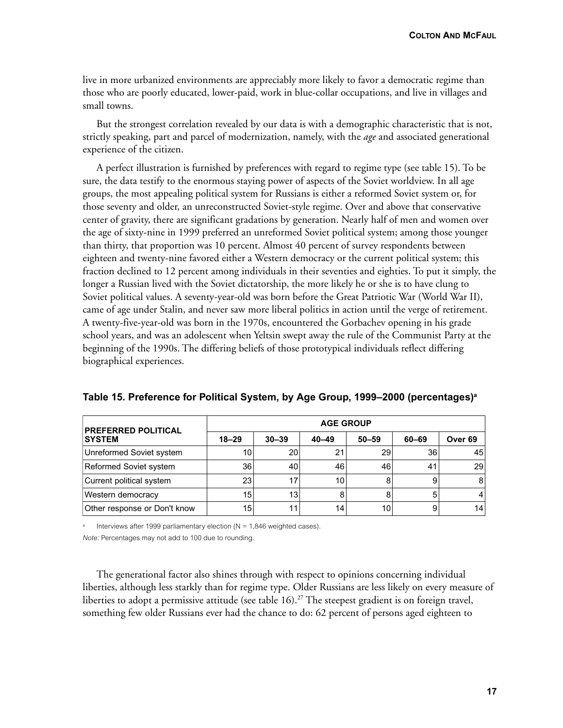live in more urbanized environments are appreciably more likely to favor a democratic regime than those who are poorly educated, lower-paid, work in blue-collar occupations, and live in villages and small towns.

But the strongest correlation revealed by our data is with a demographic characteristic that is not, strictly speaking, part and parcel of modernization, namely, with the *age* and associated generational experience of the citizen.

A perfect illustration is furnished by preferences with regard to regime type (see table 15). To be sure, the data testify to the enormous staying power of aspects of the Soviet worldview. In all age groups, the most appealing political system for Russians is either a reformed Soviet system or, for those seventy and older, an unreconstructed Soviet-style regime. Over and above that conservative center of gravity, there are significant gradations by generation. Nearly half of men and women over the age of sixty-nine in 1999 preferred an unreformed Soviet political system; among those younger than thirty, that proportion was 10 percent. Almost 40 percent of survey respondents between eighteen and twenty-nine favored either a Western democracy or the current political system; this fraction declined to 12 percent among individuals in their seventies and eighties. To put it simply, the longer a Russian lived with the Soviet dictatorship, the more likely he or she is to have clung to Soviet political values. A seventy-year-old was born before the Great Patriotic War (World War II), came of age under Stalin, and never saw more liberal politics in action until the verge of retirement. A twenty-five-year-old was born in the 1970s, encountered the Gorbachev opening in his grade school years, and was an adolescent when Yeltsin swept away the rule of the Communist Party at the beginning of the 1990s. The differing beliefs of those prototypical individuals reflect differing biographical experiences.

| <b>PREFERRED POLITICAL</b>   | <b>AGE GROUP</b> |                 |                 |           |       |                    |  |
|------------------------------|------------------|-----------------|-----------------|-----------|-------|--------------------|--|
| <b>SYSTEM</b>                | $18 - 29$        | $30 - 39$       | $40 - 49$       | $50 - 59$ | 60-69 | Over <sub>69</sub> |  |
| Unreformed Soviet system     | 10               | 20 <sub>1</sub> | 21              | 29        | 36    | 45                 |  |
| Reformed Soviet system       | 36               | 40              | 46              | 46        | 41    | 29 <sub>1</sub>    |  |
| Current political system     | 23               |                 | 10 <sub>1</sub> | 8         |       | 8 <sup>1</sup>     |  |
| Western democracy            | 15               | 13              | 8               | 8         |       | 4                  |  |
| Other response or Don't know | 15               | -1              | 14 <sub>1</sub> | 10        |       | 14                 |  |

**Table 15. Preference for Political System, by Age Group, 1999–2000 (percentages)a**

Interviews after 1999 parliamentary election ( $N = 1,846$  weighted cases).

*Note:* Percentages may not add to 100 due to rounding.

The generational factor also shines through with respect to opinions concerning individual liberties, although less starkly than for regime type. Older Russians are less likely on every measure of liberties to adopt a permissive attitude (see table  $16$ ).<sup>27</sup> The steepest gradient is on foreign travel, something few older Russians ever had the chance to do: 62 percent of persons aged eighteen to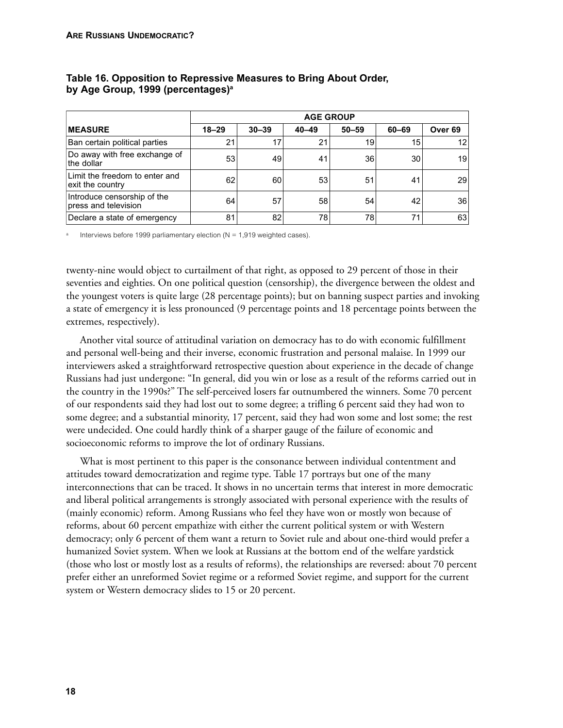|                                                     | <b>AGE GROUP</b> |           |                 |           |       |                 |
|-----------------------------------------------------|------------------|-----------|-----------------|-----------|-------|-----------------|
| <b>IMEASURE</b>                                     | $18 - 29$        | $30 - 39$ | $40 - 49$       | $50 - 59$ | 60-69 | Over 69         |
| Ban certain political parties                       | 21               | 17        | 21              | 19        | 15    | 12              |
| Do away with free exchange of<br>the dollar         | 53               | 49        | 41              | 36        | 30    | 19 <sub>1</sub> |
| Limit the freedom to enter and<br>exit the country  | 62               | 60        | 53              | 51        | 41    | <b>29</b>       |
| Introduce censorship of the<br>press and television | 64               | 57        | 58 <sub>1</sub> | 54        | 42    | 36              |
| Declare a state of emergency                        | 81               | 82        | 78              | 78        | 71    | 63              |

## **Table 16. Opposition to Repressive Measures to Bring About Order, by Age Group, 1999 (percentages)a**

Interviews before 1999 parliamentary election ( $N = 1,919$  weighted cases).

twenty-nine would object to curtailment of that right, as opposed to 29 percent of those in their seventies and eighties. On one political question (censorship), the divergence between the oldest and the youngest voters is quite large (28 percentage points); but on banning suspect parties and invoking a state of emergency it is less pronounced (9 percentage points and 18 percentage points between the extremes, respectively).

Another vital source of attitudinal variation on democracy has to do with economic fulfillment and personal well-being and their inverse, economic frustration and personal malaise. In 1999 our interviewers asked a straightforward retrospective question about experience in the decade of change Russians had just undergone: "In general, did you win or lose as a result of the reforms carried out in the country in the 1990s?" The self-perceived losers far outnumbered the winners. Some 70 percent of our respondents said they had lost out to some degree; a trifling 6 percent said they had won to some degree; and a substantial minority, 17 percent, said they had won some and lost some; the rest were undecided. One could hardly think of a sharper gauge of the failure of economic and socioeconomic reforms to improve the lot of ordinary Russians.

What is most pertinent to this paper is the consonance between individual contentment and attitudes toward democratization and regime type. Table 17 portrays but one of the many interconnections that can be traced. It shows in no uncertain terms that interest in more democratic and liberal political arrangements is strongly associated with personal experience with the results of (mainly economic) reform. Among Russians who feel they have won or mostly won because of reforms, about 60 percent empathize with either the current political system or with Western democracy; only 6 percent of them want a return to Soviet rule and about one-third would prefer a humanized Soviet system. When we look at Russians at the bottom end of the welfare yardstick (those who lost or mostly lost as a results of reforms), the relationships are reversed: about 70 percent prefer either an unreformed Soviet regime or a reformed Soviet regime, and support for the current system or Western democracy slides to 15 or 20 percent.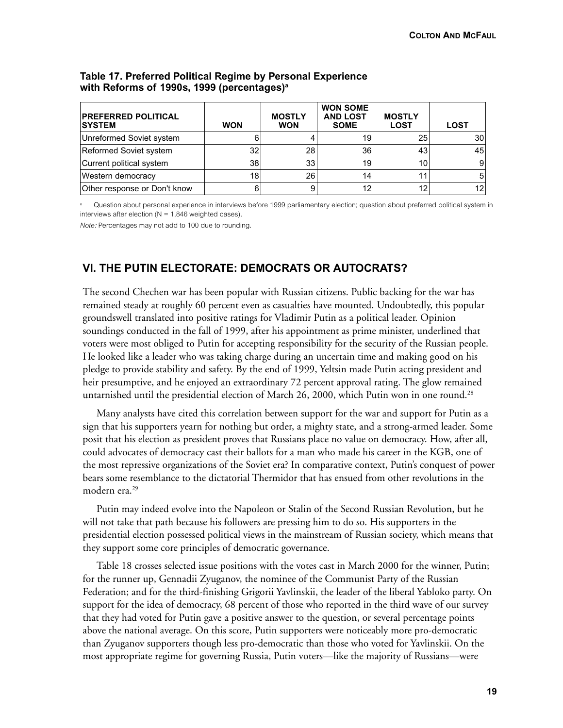| <b>PREFERRED POLITICAL</b><br><b>SYSTEM</b> | <b>WON</b> | <b>MOSTLY</b><br><b>WON</b> | <b>WON SOME</b><br><b>AND LOST</b><br><b>SOME</b> | <b>MOSTLY</b><br><b>LOST</b> | LOST |
|---------------------------------------------|------------|-----------------------------|---------------------------------------------------|------------------------------|------|
| Unreformed Soviet system                    | 6          |                             | 19                                                | 25                           | 30   |
| Reformed Soviet system                      | 32         | 28                          | 36 <sup>°</sup>                                   | 43                           | 45   |
| Current political system                    | 38         | 33                          | 19                                                | 10                           |      |
| Western democracy                           | 18         | 26                          | 14                                                |                              |      |
| Other response or Don't know                | 6          |                             | 12                                                | 12                           | 12   |

## **Table 17. Preferred Political Regime by Personal Experience with Reforms of 1990s, 1999 (percentages)a**

Question about personal experience in interviews before 1999 parliamentary election; question about preferred political system in interviews after election ( $N = 1,846$  weighted cases).

*Note:* Percentages may not add to 100 due to rounding.

# **VI. THE PUTIN ELECTORATE: DEMOCRATS OR AUTOCRATS?**

The second Chechen war has been popular with Russian citizens. Public backing for the war has remained steady at roughly 60 percent even as casualties have mounted. Undoubtedly, this popular groundswell translated into positive ratings for Vladimir Putin as a political leader. Opinion soundings conducted in the fall of 1999, after his appointment as prime minister, underlined that voters were most obliged to Putin for accepting responsibility for the security of the Russian people. He looked like a leader who was taking charge during an uncertain time and making good on his pledge to provide stability and safety. By the end of 1999, Yeltsin made Putin acting president and heir presumptive, and he enjoyed an extraordinary 72 percent approval rating. The glow remained untarnished until the presidential election of March 26, 2000, which Putin won in one round.<sup>28</sup>

Many analysts have cited this correlation between support for the war and support for Putin as a sign that his supporters yearn for nothing but order, a mighty state, and a strong-armed leader. Some posit that his election as president proves that Russians place no value on democracy. How, after all, could advocates of democracy cast their ballots for a man who made his career in the KGB, one of the most repressive organizations of the Soviet era? In comparative context, Putin's conquest of power bears some resemblance to the dictatorial Thermidor that has ensued from other revolutions in the modern era.29

Putin may indeed evolve into the Napoleon or Stalin of the Second Russian Revolution, but he will not take that path because his followers are pressing him to do so. His supporters in the presidential election possessed political views in the mainstream of Russian society, which means that they support some core principles of democratic governance.

Table 18 crosses selected issue positions with the votes cast in March 2000 for the winner, Putin; for the runner up, Gennadii Zyuganov, the nominee of the Communist Party of the Russian Federation; and for the third-finishing Grigorii Yavlinskii, the leader of the liberal Yabloko party. On support for the idea of democracy, 68 percent of those who reported in the third wave of our survey that they had voted for Putin gave a positive answer to the question, or several percentage points above the national average. On this score, Putin supporters were noticeably more pro-democratic than Zyuganov supporters though less pro-democratic than those who voted for Yavlinskii. On the most appropriate regime for governing Russia, Putin voters—like the majority of Russians—were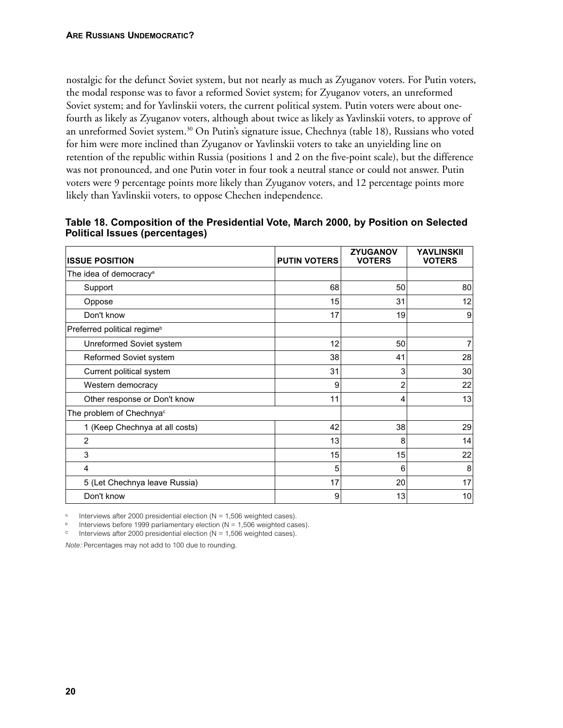nostalgic for the defunct Soviet system, but not nearly as much as Zyuganov voters. For Putin voters, the modal response was to favor a reformed Soviet system; for Zyuganov voters, an unreformed Soviet system; and for Yavlinskii voters, the current political system. Putin voters were about onefourth as likely as Zyuganov voters, although about twice as likely as Yavlinskii voters, to approve of an unreformed Soviet system.<sup>30</sup> On Putin's signature issue, Chechnya (table 18), Russians who voted for him were more inclined than Zyuganov or Yavlinskii voters to take an unyielding line on retention of the republic within Russia (positions 1 and 2 on the five-point scale), but the difference was not pronounced, and one Putin voter in four took a neutral stance or could not answer. Putin voters were 9 percentage points more likely than Zyuganov voters, and 12 percentage points more likely than Yavlinskii voters, to oppose Chechen independence.

| <b>ISSUE POSITION</b>                   | <b>PUTIN VOTERS</b> | <b>ZYUGANOV</b><br><b>VOTERS</b> | <b>YAVLINSKII</b><br><b>VOTERS</b> |
|-----------------------------------------|---------------------|----------------------------------|------------------------------------|
| The idea of democracy <sup>a</sup>      |                     |                                  |                                    |
| Support                                 | 68                  | 50                               | 80                                 |
| Oppose                                  | 15                  | 31                               | 12                                 |
| Don't know                              | 17                  | 19                               | 9                                  |
| Preferred political regime <sup>b</sup> |                     |                                  |                                    |
| Unreformed Soviet system                | 12                  | 50                               | $\overline{7}$                     |
| Reformed Soviet system                  | 38                  | 41                               | 28                                 |
| Current political system                | 31                  | 3                                | 30                                 |
| Western democracy                       | 9                   | 2                                | 22                                 |
| Other response or Don't know            | 11                  | 4                                | 13                                 |
| The problem of Chechnya <sup>c</sup>    |                     |                                  |                                    |
| 1 (Keep Chechnya at all costs)          | 42                  | 38                               | 29                                 |
| $\overline{2}$                          | 13                  | 8                                | 14                                 |
| 3                                       | 15                  | 15                               | 22                                 |
| 4                                       | 5                   | 6                                | 8                                  |
| 5 (Let Chechnya leave Russia)           | 17                  | 20                               | 17                                 |
| Don't know                              | 9                   | 13                               | 10                                 |

**Table 18. Composition of the Presidential Vote, March 2000, by Position on Selected Political Issues (percentages)**

Interviews after 2000 presidential election ( $N = 1,506$  weighted cases).

Interviews before 1999 parliamentary election ( $N = 1,506$  weighted cases).

 $\degree$  Interviews after 2000 presidential election (N = 1,506 weighted cases).

*Note:* Percentages may not add to 100 due to rounding.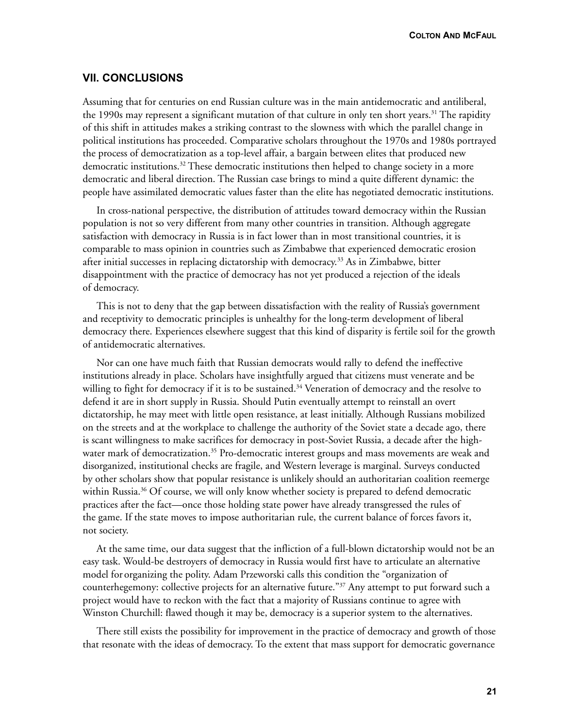**COLTON AND MCFAUL**

## **VII. CONCLUSIONS**

Assuming that for centuries on end Russian culture was in the main antidemocratic and antiliberal, the 1990s may represent a significant mutation of that culture in only ten short years.<sup>31</sup> The rapidity of this shift in attitudes makes a striking contrast to the slowness with which the parallel change in political institutions has proceeded. Comparative scholars throughout the 1970s and 1980s portrayed the process of democratization as a top-level affair, a bargain between elites that produced new democratic institutions.<sup>32</sup> These democratic institutions then helped to change society in a more democratic and liberal direction. The Russian case brings to mind a quite different dynamic: the people have assimilated democratic values faster than the elite has negotiated democratic institutions.

In cross-national perspective, the distribution of attitudes toward democracy within the Russian population is not so very different from many other countries in transition. Although aggregate satisfaction with democracy in Russia is in fact lower than in most transitional countries, it is comparable to mass opinion in countries such as Zimbabwe that experienced democratic erosion after initial successes in replacing dictatorship with democracy.<sup>33</sup> As in Zimbabwe, bitter disappointment with the practice of democracy has not yet produced a rejection of the ideals of democracy.

This is not to deny that the gap between dissatisfaction with the reality of Russia's government and receptivity to democratic principles is unhealthy for the long-term development of liberal democracy there. Experiences elsewhere suggest that this kind of disparity is fertile soil for the growth of antidemocratic alternatives.

Nor can one have much faith that Russian democrats would rally to defend the ineffective institutions already in place. Scholars have insightfully argued that citizens must venerate and be willing to fight for democracy if it is to be sustained.<sup>34</sup> Veneration of democracy and the resolve to defend it are in short supply in Russia. Should Putin eventually attempt to reinstall an overt dictatorship, he may meet with little open resistance, at least initially. Although Russians mobilized on the streets and at the workplace to challenge the authority of the Soviet state a decade ago, there is scant willingness to make sacrifices for democracy in post-Soviet Russia, a decade after the highwater mark of democratization.<sup>35</sup> Pro-democratic interest groups and mass movements are weak and disorganized, institutional checks are fragile, and Western leverage is marginal. Surveys conducted by other scholars show that popular resistance is unlikely should an authoritarian coalition reemerge within Russia.<sup>36</sup> Of course, we will only know whether society is prepared to defend democratic practices after the fact—once those holding state power have already transgressed the rules of the game. If the state moves to impose authoritarian rule, the current balance of forces favors it, not society.

At the same time, our data suggest that the infliction of a full-blown dictatorship would not be an easy task. Would-be destroyers of democracy in Russia would first have to articulate an alternative model for organizing the polity. Adam Przeworski calls this condition the "organization of counterhegemony: collective projects for an alternative future."37 Any attempt to put forward such a project would have to reckon with the fact that a majority of Russians continue to agree with Winston Churchill: flawed though it may be, democracy is a superior system to the alternatives.

There still exists the possibility for improvement in the practice of democracy and growth of those that resonate with the ideas of democracy. To the extent that mass support for democratic governance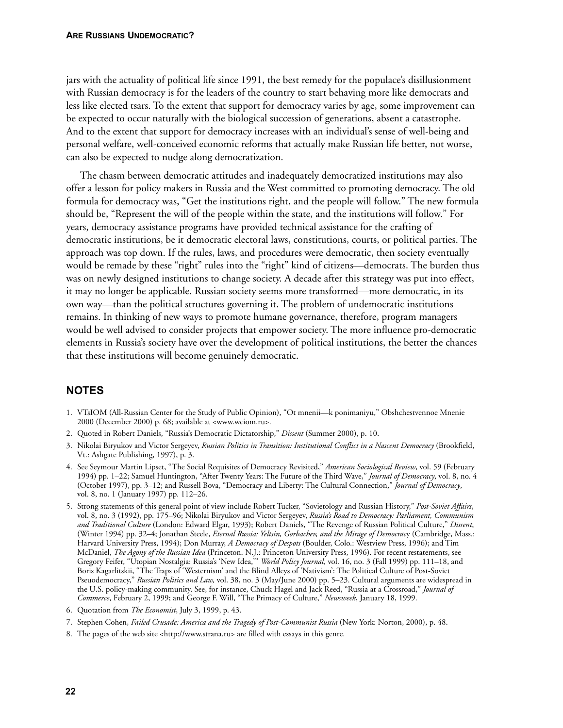jars with the actuality of political life since 1991, the best remedy for the populace's disillusionment with Russian democracy is for the leaders of the country to start behaving more like democrats and less like elected tsars. To the extent that support for democracy varies by age, some improvement can be expected to occur naturally with the biological succession of generations, absent a catastrophe. And to the extent that support for democracy increases with an individual's sense of well-being and personal welfare, well-conceived economic reforms that actually make Russian life better, not worse, can also be expected to nudge along democratization.

The chasm between democratic attitudes and inadequately democratized institutions may also offer a lesson for policy makers in Russia and the West committed to promoting democracy. The old formula for democracy was, "Get the institutions right, and the people will follow." The new formula should be, "Represent the will of the people within the state, and the institutions will follow." For years, democracy assistance programs have provided technical assistance for the crafting of democratic institutions, be it democratic electoral laws, constitutions, courts, or political parties. The approach was top down. If the rules, laws, and procedures were democratic, then society eventually would be remade by these "right" rules into the "right" kind of citizens—democrats. The burden thus was on newly designed institutions to change society. A decade after this strategy was put into effect, it may no longer be applicable. Russian society seems more transformed—more democratic, in its own way—than the political structures governing it. The problem of undemocratic institutions remains. In thinking of new ways to promote humane governance, therefore, program managers would be well advised to consider projects that empower society. The more influence pro-democratic elements in Russia's society have over the development of political institutions, the better the chances that these institutions will become genuinely democratic.

# **NOTES**

- 1. VTsIOM (All-Russian Center for the Study of Public Opinion), "Ot mnenii—k ponimaniyu," Obshchestvennoe Mnenie 2000 (December 2000) p. 68; available at <www.wciom.ru>.
- 2. Quoted in Robert Daniels, "Russia's Democratic Dictatorship," *Dissent* (Summer 2000), p. 10.
- 3. Nikolai Biryukov and Victor Sergeyev, *Russian Politics in Transition: Institutional Conflict in a Nascent Democracy* (Brookfield, Vt.: Ashgate Publishing, 1997), p. 3.
- 4. See Seymour Martin Lipset, "The Social Requisites of Democracy Revisited," *American Sociological Review*, vol. 59 (February 1994) pp. 1–22; Samuel Huntington, "After Twenty Years: The Future of the Third Wave," *Journal of Democracy*, vol. 8, no. 4 (October 1997), pp. 3–12; and Russell Bova, "Democracy and Liberty: The Cultural Connection," *Journal of Democracy*, vol. 8, no. 1 (January 1997) pp. 112–26.
- 5. Strong statements of this general point of view include Robert Tucker, "Sovietology and Russian History," *Post-Soviet Affairs*, vol. 8, no. 3 (1992), pp. 175–96; Nikolai Biryukov and Victor Sergeyev, *Russia's Road to Democracy: Parliament, Communism and Traditional Culture* (London: Edward Elgar, 1993); Robert Daniels, "The Revenge of Russian Political Culture," *Dissent*, (Winter 1994) pp. 32–4; Jonathan Steele, *Eternal Russia: Yeltsin, Gorbachev, and the Mirage of Democrac*y (Cambridge, Mass.: Harvard University Press, 1994); Don Murray, *A Democracy of Despots* (Boulder, Colo.: Westview Press, 1996); and Tim McDaniel, *The Agony of the Russian Idea* (Princeton. N.J.: Princeton University Press, 1996). For recent restatements, see Gregory Feifer, "Utopian Nostalgia: Russia's 'New Idea,'" *World Policy Journal*, vol. 16, no. 3 (Fall 1999) pp. 111–18, and Boris Kagarlitskii, "The Traps of 'Westernism' and the Blind Alleys of 'Nativism': The Political Culture of Post-Soviet Pseuodemocracy," *Russian Politics and Law,* vol. 38, no. 3 (May/June 2000) pp. 5–23. Cultural arguments are widespread in the U.S. policy-making community. See, for instance, Chuck Hagel and Jack Reed, "Russia at a Crossroad," *Journal of Commerce*, February 2, 1999; and George F. Will, "The Primacy of Culture," *Newsweek*, January 18, 1999.
- 6. Quotation from *The Economist*, July 3, 1999, p. 43.
- 7. Stephen Cohen, *Failed Crusade: America and the Tragedy of Post-Communist Russia* (New York: Norton, 2000), p. 48.
- 8. The pages of the web site <http://www.strana.ru> are filled with essays in this genre.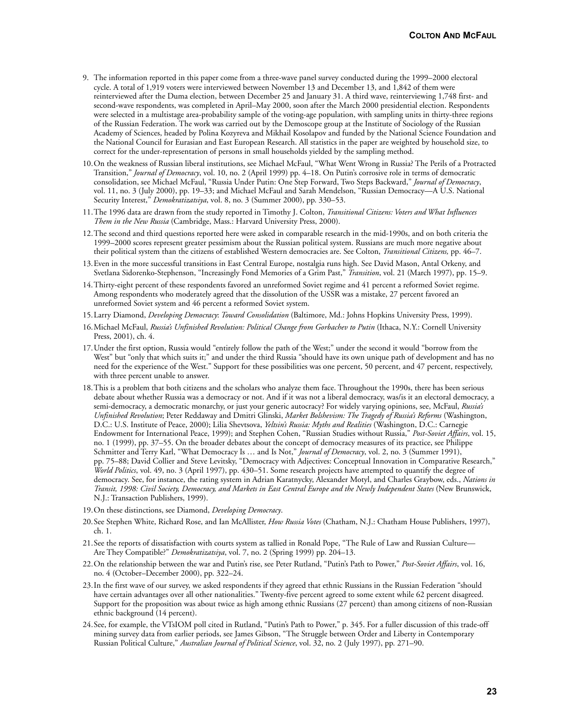- 9. The information reported in this paper come from a three-wave panel survey conducted during the 1999–2000 electoral cycle. A total of 1,919 voters were interviewed between November 13 and December 13, and 1,842 of them were reinterviewed after the Duma election, between December 25 and January 31. A third wave, reinterviewing 1,748 first- and second-wave respondents, was completed in April–May 2000, soon after the March 2000 presidential election. Respondents were selected in a multistage area-probability sample of the voting-age population, with sampling units in thirty-three regions of the Russian Federation. The work was carried out by the Demoscope group at the Institute of Sociology of the Russian Academy of Sciences, headed by Polina Kozyreva and Mikhail Kosolapov and funded by the National Science Foundation and the National Council for Eurasian and East European Research. All statistics in the paper are weighted by household size, to correct for the under-representation of persons in small households yielded by the sampling method.
- 10.On the weakness of Russian liberal institutions, see Michael McFaul, "What Went Wrong in Russia? The Perils of a Protracted Transition," *Journal of Democracy*, vol. 10, no. 2 (April 1999) pp. 4–18. On Putin's corrosive role in terms of democratic consolidation, see Michael McFaul, "Russia Under Putin: One Step Forward, Two Steps Backward," *Journal of Democracy*, vol. 11, no. 3 (July 2000), pp. 19–33; and Michael McFaul and Sarah Mendelson, "Russian Democracy—A U.S. National Security Interest," *Demokratizatsiya*, vol. 8, no. 3 (Summer 2000), pp. 330–53.
- 11.The 1996 data are drawn from the study reported in Timothy J. Colton, *Transitional Citizens: Voters and What Influences Them in the New Russia* (Cambridge, Mass.: Harvard University Press, 2000).
- 12.The second and third questions reported here were asked in comparable research in the mid-1990s, and on both criteria the 1999–2000 scores represent greater pessimism about the Russian political system. Russians are much more negative about their political system than the citizens of established Western democracies are. See Colton, *Transitional Citizens,* pp. 46–7.
- 13.Even in the more successful transitions in East Central Europe, nostalgia runs high. See David Mason, Antal Orkeny, and Svetlana Sidorenko-Stephenson, "Increasingly Fond Memories of a Grim Past," *Transition*, vol. 21 (March 1997), pp. 15–9.
- 14.Thirty-eight percent of these respondents favored an unreformed Soviet regime and 41 percent a reformed Soviet regime. Among respondents who moderately agreed that the dissolution of the USSR was a mistake, 27 percent favored an unreformed Soviet system and 46 percent a reformed Soviet system.
- 15.Larry Diamond, *Developing Democracy*: *Toward Consolidation* (Baltimore, Md.: Johns Hopkins University Press, 1999).
- 16.Michael McFaul, *Russia's Unfinished Revolution: Political Change from Gorbachev to Putin* (Ithaca, N.Y.: Cornell University Press, 2001), ch. 4.
- 17.Under the first option, Russia would "entirely follow the path of the West;" under the second it would "borrow from the West" but "only that which suits it;" and under the third Russia "should have its own unique path of development and has no need for the experience of the West." Support for these possibilities was one percent, 50 percent, and 47 percent, respectively, with three percent unable to answer.
- 18.This is a problem that both citizens and the scholars who analyze them face. Throughout the 1990s, there has been serious debate about whether Russia was a democracy or not. And if it was not a liberal democracy, was/is it an electoral democracy, a semi-democracy, a democratic monarchy, or just your generic autocracy? For widely varying opinions, see, McFaul, *Russia's Unfinished Revolution*; Peter Reddaway and Dmitri Glinski, *Market Bolshevism: The Tragedy of Russia's Reforms* (Washington, D.C.: U.S. Institute of Peace, 2000); Lilia Shevtsova, *Yeltsin's Russia: Myths and Realities* (Washington, D.C.: Carnegie Endowment for International Peace, 1999); and Stephen Cohen, "Russian Studies without Russia," *Post-Soviet Affairs*, vol. 15, no. 1 (1999), pp. 37–55. On the broader debates about the concept of democracy measures of its practice, see Philippe Schmitter and Terry Karl, "What Democracy Is … and Is Not," *Journal of Democracy*, vol. 2, no. 3 (Summer 1991), pp. 75–88; David Collier and Steve Levitsky, "Democracy with Adjectives: Conceptual Innovation in Comparative Research," *World Politics*, vol. 49, no. 3 (April 1997), pp. 430–51. Some research projects have attempted to quantify the degree of democracy. See, for instance, the rating system in Adrian Karatnycky, Alexander Motyl, and Charles Graybow, eds., *Nations in Transit, 1998: Civil Society, Democracy, and Markets in East Central Europe and the Newly Independent States* (New Brunswick, N.J.: Transaction Publishers, 1999).
- 19.On these distinctions, see Diamond, *Developing Democracy*.
- 20.See Stephen White, Richard Rose, and Ian McAllister, *How Russia Votes* (Chatham, N.J.: Chatham House Publishers, 1997), ch. 1.
- 21.See the reports of dissatisfaction with courts system as tallied in Ronald Pope, "The Rule of Law and Russian Culture— Are They Compatible?" *Demokratizatsiya*, vol. 7, no. 2 (Spring 1999) pp. 204–13.
- 22.On the relationship between the war and Putin's rise, see Peter Rutland, "Putin's Path to Power," *Post-Soviet Affairs*, vol. 16, no. 4 (October–December 2000), pp. 322–24.
- 23.In the first wave of our survey, we asked respondents if they agreed that ethnic Russians in the Russian Federation "should have certain advantages over all other nationalities." Twenty-five percent agreed to some extent while 62 percent disagreed. Support for the proposition was about twice as high among ethnic Russians (27 percent) than among citizens of non-Russian ethnic background (14 percent).
- 24.See, for example, the VTsIOM poll cited in Rutland, "Putin's Path to Power," p. 345. For a fuller discussion of this trade-off mining survey data from earlier periods, see James Gibson, "The Struggle between Order and Liberty in Contemporary Russian Political Culture," *Australian Journal of Political Science*, vol. 32, no. 2 (July 1997), pp. 271–90.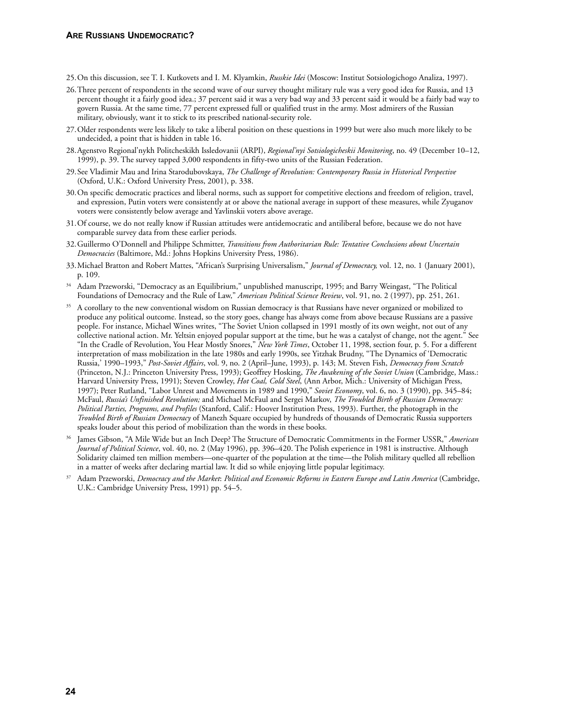- 25.On this discussion, see T. I. Kutkovets and I. M. Klyamkin, *Russkie Idei* (Moscow: Institut Sotsiologichogo Analiza, 1997).
- 26.Three percent of respondents in the second wave of our survey thought military rule was a very good idea for Russia, and 13 percent thought it a fairly good idea.; 37 percent said it was a very bad way and 33 percent said it would be a fairly bad way to govern Russia. At the same time, 77 percent expressed full or qualified trust in the army. Most admirers of the Russian military, obviously, want it to stick to its prescribed national-security role.
- 27.Older respondents were less likely to take a liberal position on these questions in 1999 but were also much more likely to be undecided, a point that is hidden in table 16.
- 28.Agenstvo Regional'nykh Politcheskikh Issledovanii (ARPI), *Regional'nyi Sotsiologicheskii Monitoring*, no. 49 (December 10–12, 1999), p. 39. The survey tapped 3,000 respondents in fifty-two units of the Russian Federation.
- 29.See Vladimir Mau and Irina Starodubovskaya, *The Challenge of Revolution: Contemporary Russia in Historical Perspective* (Oxford, U.K.: Oxford University Press, 2001), p. 338.
- 30.On specific democratic practices and liberal norms, such as support for competitive elections and freedom of religion, travel, and expression, Putin voters were consistently at or above the national average in support of these measures, while Zyuganov voters were consistently below average and Yavlinskii voters above average.
- 31.Of course, we do not really know if Russian attitudes were antidemocratic and antiliberal before, because we do not have comparable survey data from these earlier periods.
- 32.Guillermo O'Donnell and Philippe Schmitter, *Transitions from Authoritarian Rule: Tentative Conclusions about Uncertain Democracies* (Baltimore, Md.: Johns Hopkins University Press, 1986).
- 33.Michael Bratton and Robert Mattes, "African's Surprising Universalism," *Journal of Democracy,* vol. 12, no. 1 (January 2001), p. 109.
- <sup>34</sup> Adam Przeworski, "Democracy as an Equilibrium," unpublished manuscript, 1995; and Barry Weingast, "The Political Foundations of Democracy and the Rule of Law," *American Political Science Review*, vol. 91, no. 2 (1997), pp. 251, 261.
- <sup>35</sup> A corollary to the new conventional wisdom on Russian democracy is that Russians have never organized or mobilized to produce any political outcome. Instead, so the story goes, change has always come from above because Russians are a passive people. For instance, Michael Wines writes, "The Soviet Union collapsed in 1991 mostly of its own weight, not out of any collective national action. Mr. Yeltsin enjoyed popular support at the time, but he was a catalyst of change, not the agent." See "In the Cradle of Revolution, You Hear Mostly Snores," *New York Times*, October 11, 1998, section four, p. 5. For a different interpretation of mass mobilization in the late 1980s and early 1990s, see Yitzhak Brudny, "The Dynamics of 'Democratic Russia,' 1990–1993," *Post-Soviet Affairs*, vol. 9, no. 2 (April–June, 1993), p. 143; M. Steven Fish, *Democracy from Scratch* (Princeton, N.J.: Princeton University Press, 1993); Geoffrey Hosking, *The Awakening of the Soviet Union* (Cambridge, Mass.: Harvard University Press, 1991); Steven Crowley, *Hot Coal, Cold Steel*, (Ann Arbor, Mich.: University of Michigan Press, 1997); Peter Rutland, "Labor Unrest and Movements in 1989 and 1990," *Soviet Economy*, vol. 6, no. 3 (1990), pp. 345–84; McFaul, *Russia's Unfinished Revolution;* and Michael McFaul and Sergei Markov, *The Troubled Birth of Russian Democracy: Political Parties, Programs, and Profiles* (Stanford, Calif.: Hoover Institution Press, 1993). Further, the photograph in the *Troubled Birth of Russian Democracy* of Manezh Square occupied by hundreds of thousands of Democratic Russia supporters speaks louder about this period of mobilization than the words in these books.
- <sup>36</sup> James Gibson, "A Mile Wide but an Inch Deep? The Structure of Democratic Commitments in the Former USSR," *American Journal of Political Science*, vol. 40, no. 2 (May 1996), pp. 396–420. The Polish experience in 1981 is instructive. Although Solidarity claimed ten million members—one-quarter of the population at the time—the Polish military quelled all rebellion in a matter of weeks after declaring martial law. It did so while enjoying little popular legitimacy.
- <sup>37</sup> Adam Przeworski, *Democracy and the Market*: *Political and Economic Reforms in Eastern Europe and Latin America* (Cambridge, U.K.: Cambridge University Press, 1991) pp. 54–5.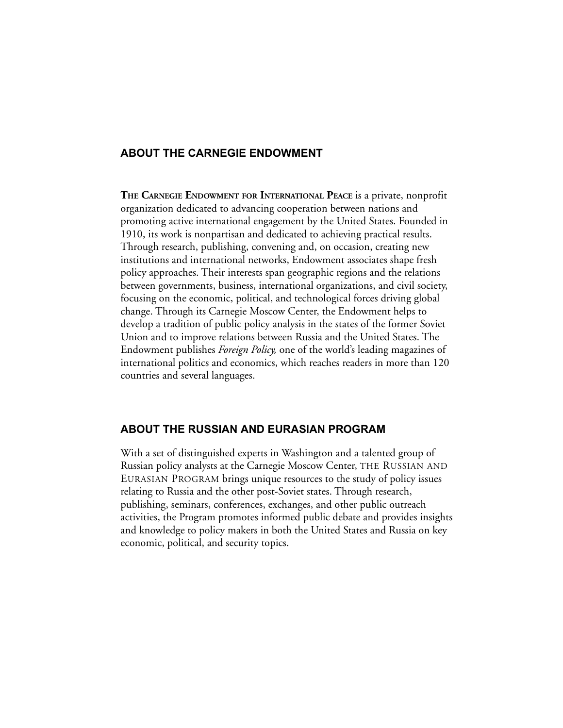## **ABOUT THE CARNEGIE ENDOWMENT**

**THE CARNEGIE ENDOWMENT FOR INTERNATIONAL PEACE** is a private, nonprofit organization dedicated to advancing cooperation between nations and promoting active international engagement by the United States. Founded in 1910, its work is nonpartisan and dedicated to achieving practical results. Through research, publishing, convening and, on occasion, creating new institutions and international networks, Endowment associates shape fresh policy approaches. Their interests span geographic regions and the relations between governments, business, international organizations, and civil society, focusing on the economic, political, and technological forces driving global change. Through its Carnegie Moscow Center, the Endowment helps to develop a tradition of public policy analysis in the states of the former Soviet Union and to improve relations between Russia and the United States. The Endowment publishes *Foreign Policy,* one of the world's leading magazines of international politics and economics, which reaches readers in more than 120 countries and several languages.

## **ABOUT THE RUSSIAN AND EURASIAN PROGRAM**

With a set of distinguished experts in Washington and a talented group of Russian policy analysts at the Carnegie Moscow Center, THE RUSSIAN AND EURASIAN PROGRAM brings unique resources to the study of policy issues relating to Russia and the other post-Soviet states. Through research, publishing, seminars, conferences, exchanges, and other public outreach activities, the Program promotes informed public debate and provides insights and knowledge to policy makers in both the United States and Russia on key economic, political, and security topics.